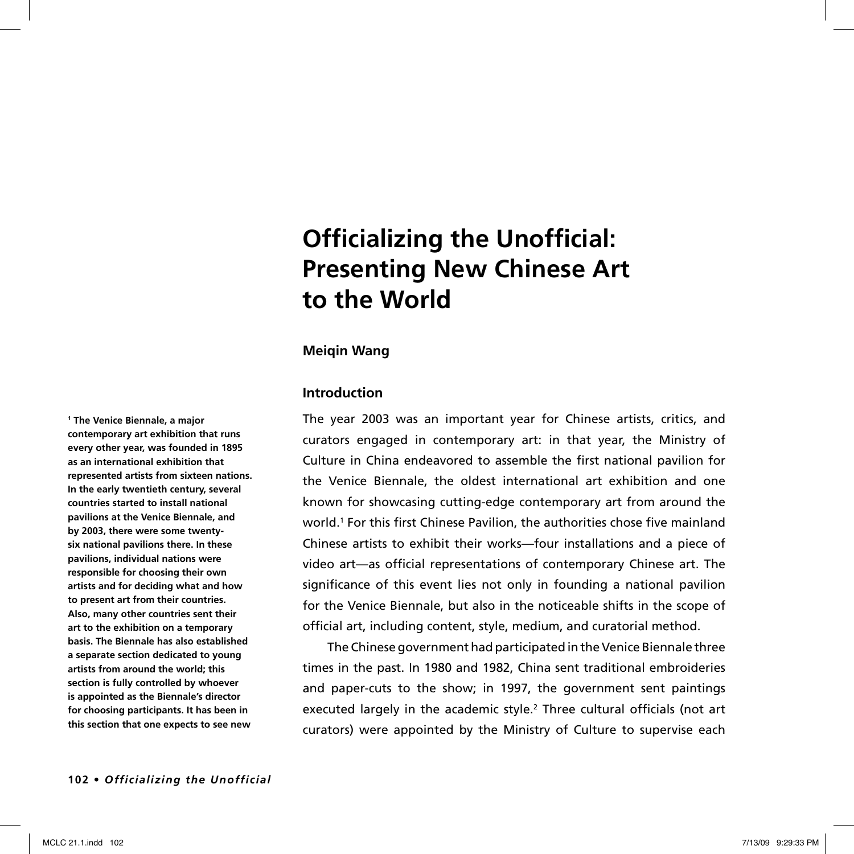# **Officializing the Unofficial: Presenting New Chinese Art to the World**

## **Meiqin Wang**

## **Introduction**

The year 2003 was an important year for Chinese artists, critics, and curators engaged in contemporary art: in that year, the Ministry of Culture in China endeavored to assemble the first national pavilion for the Venice Biennale, the oldest international art exhibition and one known for showcasing cutting-edge contemporary art from around the world.<sup>1</sup> For this first Chinese Pavilion, the authorities chose five mainland Chinese artists to exhibit their works—four installations and a piece of video art—as official representations of contemporary Chinese art. The significance of this event lies not only in founding a national pavilion for the Venice Biennale, but also in the noticeable shifts in the scope of official art, including content, style, medium, and curatorial method.

The Chinese government had participated in the Venice Biennale three times in the past. In 1980 and 1982, China sent traditional embroideries and paper-cuts to the show; in 1997, the government sent paintings executed largely in the academic style.<sup>2</sup> Three cultural officials (not art curators) were appointed by the Ministry of Culture to supervise each

**1 The Venice Biennale, a major contemporary art exhibition that runs every other year, was founded in 1895 as an international exhibition that represented artists from sixteen nations. In the early twentieth century, several countries started to install national pavilions at the Venice Biennale, and by 2003, there were some twentysix national pavilions there. In these pavilions, individual nations were responsible for choosing their own artists and for deciding what and how to present art from their countries. Also, many other countries sent their art to the exhibition on a temporary basis. The Biennale has also established a separate section dedicated to young artists from around the world; this section is fully controlled by whoever is appointed as the Biennale's director for choosing participants. It has been in this section that one expects to see new**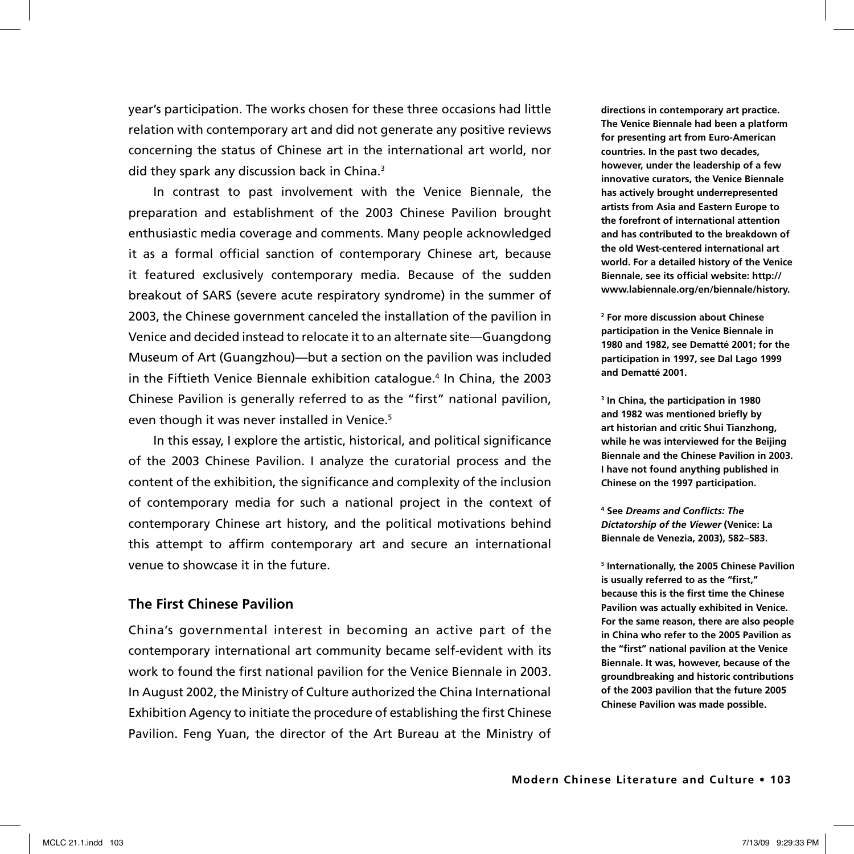year's participation. The works chosen for these three occasions had little relation with contemporary art and did not generate any positive reviews concerning the status of Chinese art in the international art world, nor did they spark any discussion back in China.<sup>3</sup>

In contrast to past involvement with the Venice Biennale, the preparation and establishment of the 2003 Chinese Pavilion brought enthusiastic media coverage and comments. Many people acknowledged it as a formal official sanction of contemporary Chinese art, because it featured exclusively contemporary media. Because of the sudden breakout of SARS (severe acute respiratory syndrome) in the summer of 2003, the Chinese government canceled the installation of the pavilion in Venice and decided instead to relocate it to an alternate site—Guangdong Museum of Art (Guangzhou)—but a section on the pavilion was included in the Fiftieth Venice Biennale exhibition catalogue.<sup>4</sup> In China, the 2003 Chinese Pavilion is generally referred to as the "first" national pavilion, even though it was never installed in Venice.<sup>5</sup>

In this essay, I explore the artistic, historical, and political significance of the 2003 Chinese Pavilion. I analyze the curatorial process and the content of the exhibition, the significance and complexity of the inclusion of contemporary media for such a national project in the context of contemporary Chinese art history, and the political motivations behind this attempt to affirm contemporary art and secure an international venue to showcase it in the future.

# **The First Chinese Pavilion**

China's governmental interest in becoming an active part of the contemporary international art community became self-evident with its work to found the first national pavilion for the Venice Biennale in 2003. In August 2002, the Ministry of Culture authorized the China International Exhibition Agency to initiate the procedure of establishing the first Chinese Pavilion. Feng Yuan, the director of the Art Bureau at the Ministry of **directions in contemporary art practice. The Venice Biennale had been a platform for presenting art from Euro-American countries. In the past two decades, however, under the leadership of a few innovative curators, the Venice Biennale has actively brought underrepresented artists from Asia and Eastern Europe to the forefront of international attention and has contributed to the breakdown of the old West-centered international art world. For a detailed history of the Venice Biennale, see its official website: http:// www.labiennale.org/en/biennale/history.**

**2 For more discussion about Chinese participation in the Venice Biennale in 1980 and 1982, see Dematté 2001; for the participation in 1997, see Dal Lago 1999 and Dematté 2001.**

**3 In China, the participation in 1980 and 1982 was mentioned briefly by art historian and critic Shui Tianzhong, while he was interviewed for the Beijing Biennale and the Chinese Pavilion in 2003. I have not found anything published in Chinese on the 1997 participation.** 

**4 See** *Dreams and Conflicts: The Dictatorship of the Viewer* **(Venice: La Biennale de Venezia, 2003), 582–583.** 

**5 Internationally, the 2005 Chinese Pavilion is usually referred to as the "first," because this is the first time the Chinese Pavilion was actually exhibited in Venice. For the same reason, there are also people in China who refer to the 2005 Pavilion as the "first" national pavilion at the Venice Biennale. It was, however, because of the groundbreaking and historic contributions of the 2003 pavilion that the future 2005 Chinese Pavilion was made possible.**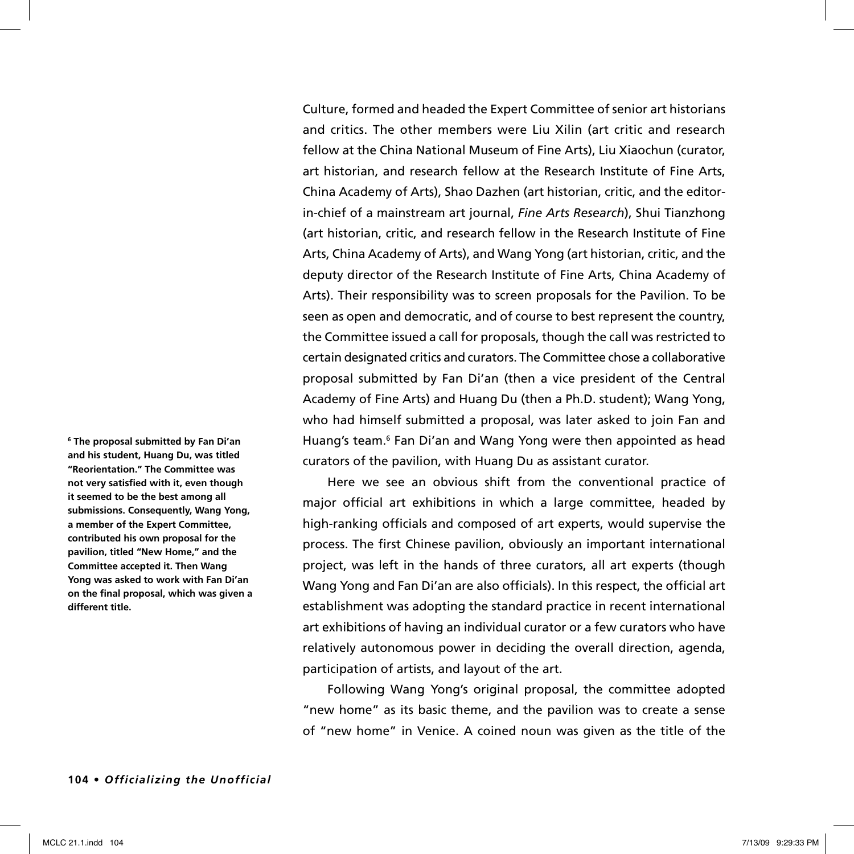Culture, formed and headed the Expert Committee of senior art historians and critics. The other members were Liu Xilin (art critic and research fellow at the China National Museum of Fine Arts), Liu Xiaochun (curator, art historian, and research fellow at the Research Institute of Fine Arts, China Academy of Arts), Shao Dazhen (art historian, critic, and the editorin-chief of a mainstream art journal, *Fine Arts Research*), Shui Tianzhong (art historian, critic, and research fellow in the Research Institute of Fine Arts, China Academy of Arts), and Wang Yong (art historian, critic, and the deputy director of the Research Institute of Fine Arts, China Academy of Arts). Their responsibility was to screen proposals for the Pavilion. To be seen as open and democratic, and of course to best represent the country, the Committee issued a call for proposals, though the call was restricted to certain designated critics and curators. The Committee chose a collaborative proposal submitted by Fan Di'an (then a vice president of the Central Academy of Fine Arts) and Huang Du (then a Ph.D. student); Wang Yong, who had himself submitted a proposal, was later asked to join Fan and Huang's team.<sup>6</sup> Fan Di'an and Wang Yong were then appointed as head curators of the pavilion, with Huang Du as assistant curator.

Here we see an obvious shift from the conventional practice of major official art exhibitions in which a large committee, headed by high-ranking officials and composed of art experts, would supervise the process. The first Chinese pavilion, obviously an important international project, was left in the hands of three curators, all art experts (though Wang Yong and Fan Di'an are also officials). In this respect, the official art establishment was adopting the standard practice in recent international art exhibitions of having an individual curator or a few curators who have relatively autonomous power in deciding the overall direction, agenda, participation of artists, and layout of the art.

Following Wang Yong's original proposal, the committee adopted "new home" as its basic theme, and the pavilion was to create a sense of "new home" in Venice. A coined noun was given as the title of the

**and his student, Huang Du, was titled "Reorientation." The Committee was not very satisfied with it, even though it seemed to be the best among all submissions. Consequently, Wang Yong, a member of the Expert Committee, contributed his own proposal for the pavilion, titled "New Home," and the Committee accepted it. Then Wang Yong was asked to work with Fan Di'an on the final proposal, which was given a different title.**

**6 The proposal submitted by Fan Di'an**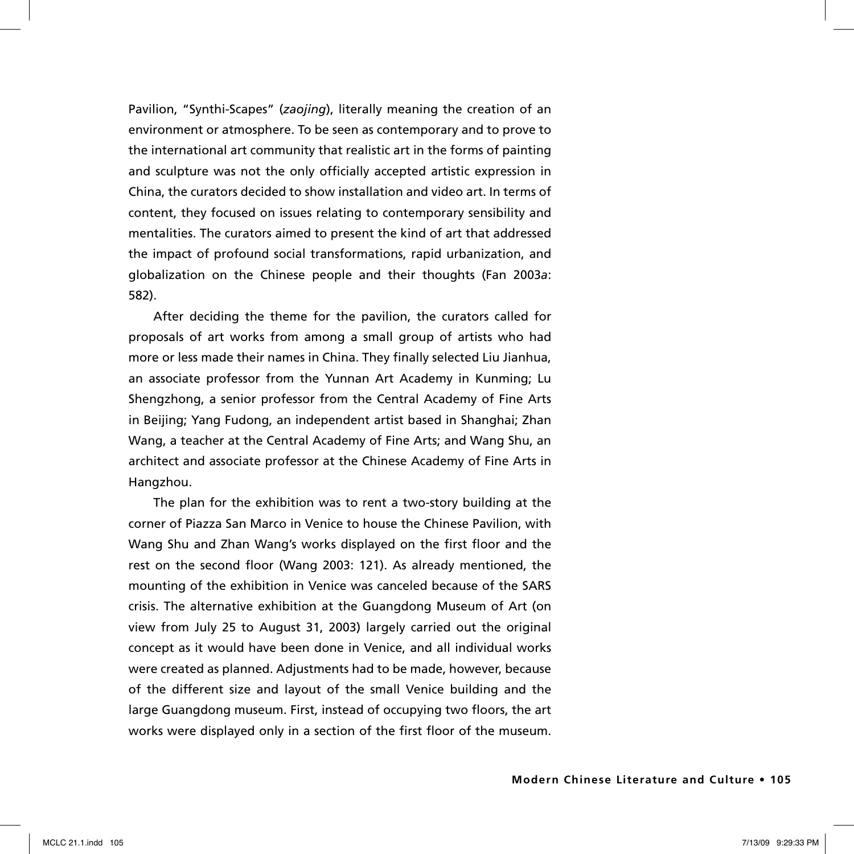Pavilion, "Synthi-Scapes" (*zaojing*), literally meaning the creation of an environment or atmosphere. To be seen as contemporary and to prove to the international art community that realistic art in the forms of painting and sculpture was not the only officially accepted artistic expression in China, the curators decided to show installation and video art. In terms of content, they focused on issues relating to contemporary sensibility and mentalities. The curators aimed to present the kind of art that addressed the impact of profound social transformations, rapid urbanization, and globalization on the Chinese people and their thoughts (Fan 2003*a*: 582).

After deciding the theme for the pavilion, the curators called for proposals of art works from among a small group of artists who had more or less made their names in China. They finally selected Liu Jianhua, an associate professor from the Yunnan Art Academy in Kunming; Lu Shengzhong, a senior professor from the Central Academy of Fine Arts in Beijing; Yang Fudong, an independent artist based in Shanghai; Zhan Wang, a teacher at the Central Academy of Fine Arts; and Wang Shu, an architect and associate professor at the Chinese Academy of Fine Arts in Hangzhou.

The plan for the exhibition was to rent a two-story building at the corner of Piazza San Marco in Venice to house the Chinese Pavilion, with Wang Shu and Zhan Wang's works displayed on the first floor and the rest on the second floor (Wang 2003: 121). As already mentioned, the mounting of the exhibition in Venice was canceled because of the SARS crisis. The alternative exhibition at the Guangdong Museum of Art (on view from July 25 to August 31, 2003) largely carried out the original concept as it would have been done in Venice, and all individual works were created as planned. Adjustments had to be made, however, because of the different size and layout of the small Venice building and the large Guangdong museum. First, instead of occupying two floors, the art works were displayed only in a section of the first floor of the museum.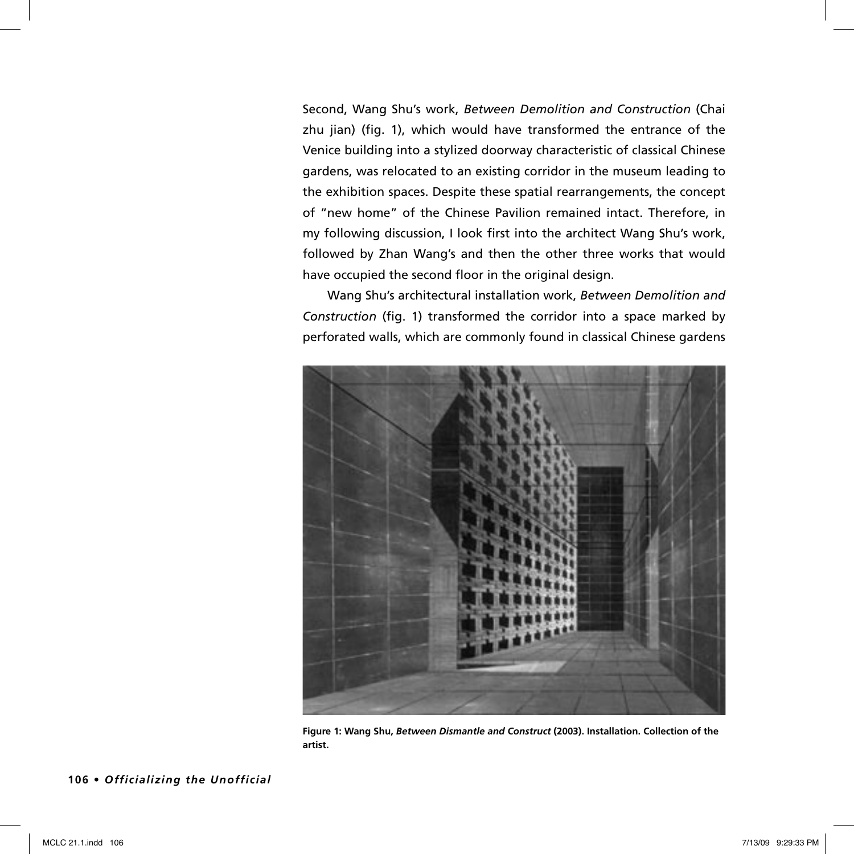Second, Wang Shu's work, *Between Demolition and Construction* (Chai zhu jian) (fig. 1), which would have transformed the entrance of the Venice building into a stylized doorway characteristic of classical Chinese gardens, was relocated to an existing corridor in the museum leading to the exhibition spaces. Despite these spatial rearrangements, the concept of "new home" of the Chinese Pavilion remained intact. Therefore, in my following discussion, I look first into the architect Wang Shu's work, followed by Zhan Wang's and then the other three works that would have occupied the second floor in the original design.

Wang Shu's architectural installation work, *Between Demolition and Construction* (fig. 1) transformed the corridor into a space marked by perforated walls, which are commonly found in classical Chinese gardens



**Figure 1: Wang Shu,** *Between Dismantle and Construct* **(2003). Installation. Collection of the artist.**

**106 •** *Officializing the Unofficial*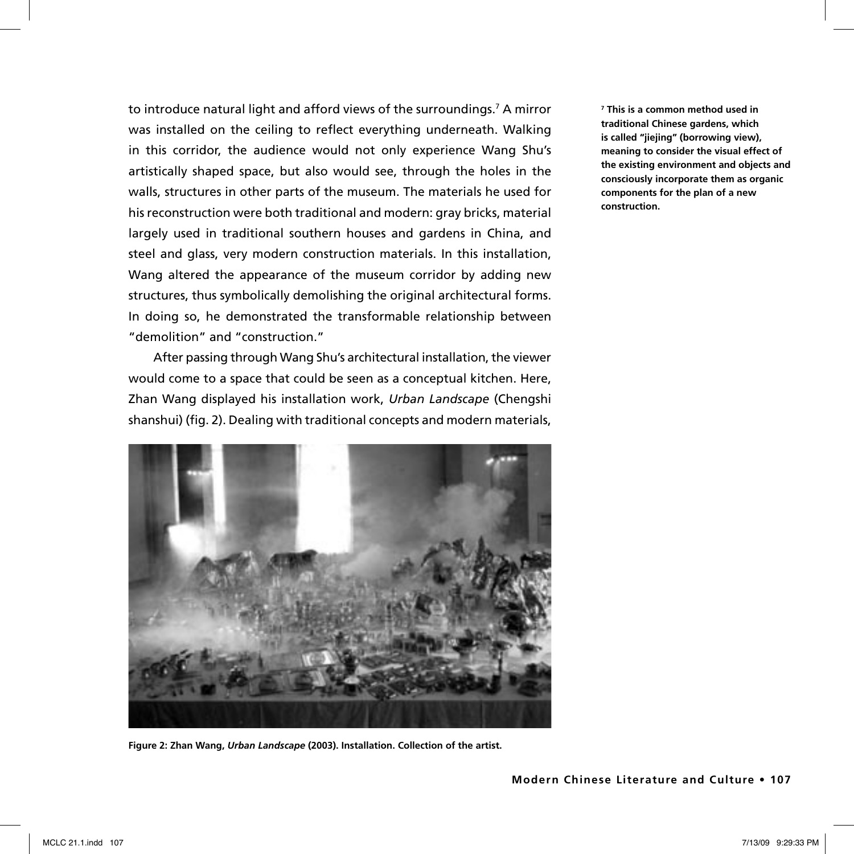to introduce natural light and afford views of the surroundings.7 A mirror was installed on the ceiling to reflect everything underneath. Walking in this corridor, the audience would not only experience Wang Shu's artistically shaped space, but also would see, through the holes in the walls, structures in other parts of the museum. The materials he used for his reconstruction were both traditional and modern: gray bricks, material largely used in traditional southern houses and gardens in China, and steel and glass, very modern construction materials. In this installation, Wang altered the appearance of the museum corridor by adding new structures, thus symbolically demolishing the original architectural forms. In doing so, he demonstrated the transformable relationship between "demolition" and "construction."

After passing through Wang Shu's architectural installation, the viewer would come to a space that could be seen as a conceptual kitchen. Here, Zhan Wang displayed his installation work, *Urban Landscape* (Chengshi shanshui) (fig. 2). Dealing with traditional concepts and modern materials,



**Figure 2: Zhan Wang,** *Urban Landscape* **(2003). Installation. Collection of the artist.**

**7 This is a common method used in traditional Chinese gardens, which is called "jiejing" (borrowing view), meaning to consider the visual effect of the existing environment and objects and consciously incorporate them as organic components for the plan of a new construction.**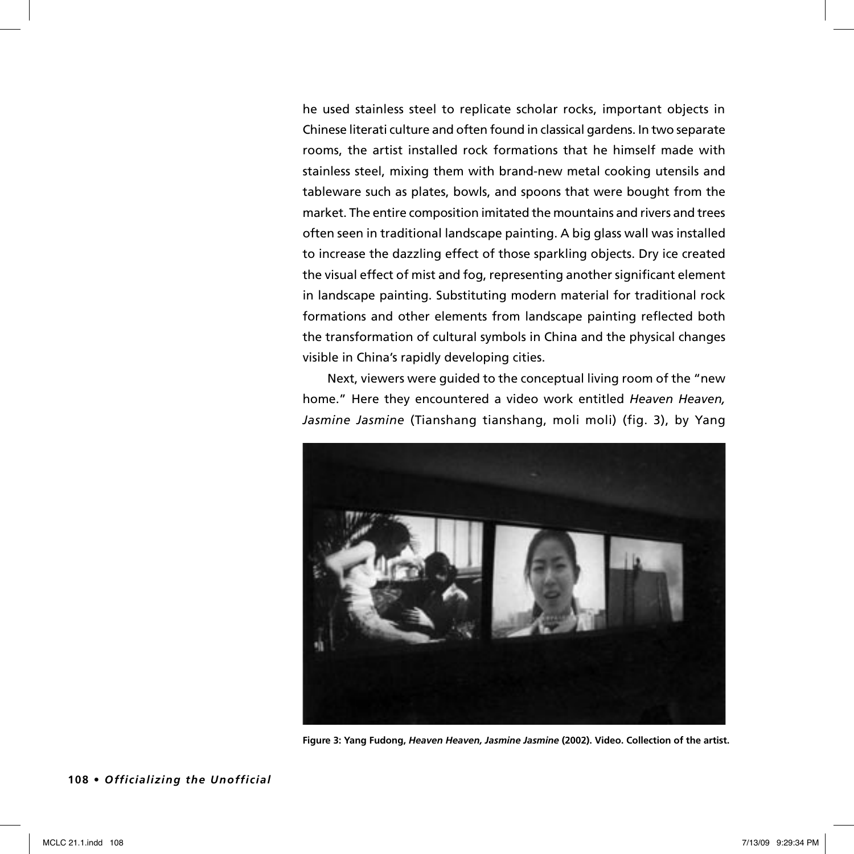he used stainless steel to replicate scholar rocks, important objects in Chinese literati culture and often found in classical gardens. In two separate rooms, the artist installed rock formations that he himself made with stainless steel, mixing them with brand-new metal cooking utensils and tableware such as plates, bowls, and spoons that were bought from the market. The entire composition imitated the mountains and rivers and trees often seen in traditional landscape painting. A big glass wall was installed to increase the dazzling effect of those sparkling objects. Dry ice created the visual effect of mist and fog, representing another significant element in landscape painting. Substituting modern material for traditional rock formations and other elements from landscape painting reflected both the transformation of cultural symbols in China and the physical changes visible in China's rapidly developing cities.

Next, viewers were guided to the conceptual living room of the "new home." Here they encountered a video work entitled *Heaven Heaven, Jasmine Jasmine* (Tianshang tianshang, moli moli) (fig. 3), by Yang



**Figure 3: Yang Fudong,** *Heaven Heaven, Jasmine Jasmine* **(2002). Video. Collection of the artist.** 

**108 •** *Officializing the Unofficial*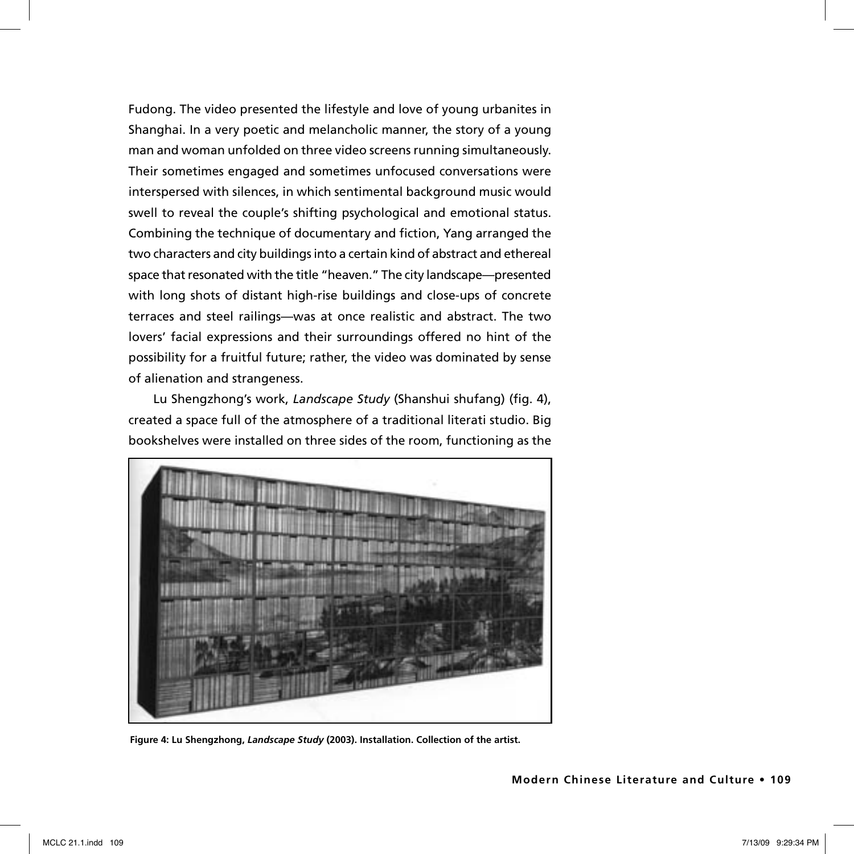Fudong. The video presented the lifestyle and love of young urbanites in Shanghai. In a very poetic and melancholic manner, the story of a young man and woman unfolded on three video screens running simultaneously. Their sometimes engaged and sometimes unfocused conversations were interspersed with silences, in which sentimental background music would swell to reveal the couple's shifting psychological and emotional status. Combining the technique of documentary and fiction, Yang arranged the two characters and city buildings into a certain kind of abstract and ethereal space that resonated with the title "heaven." The city landscape—presented with long shots of distant high-rise buildings and close-ups of concrete terraces and steel railings—was at once realistic and abstract. The two lovers' facial expressions and their surroundings offered no hint of the possibility for a fruitful future; rather, the video was dominated by sense of alienation and strangeness.

Lu Shengzhong's work, *Landscape Study* (Shanshui shufang) (fig. 4), created a space full of the atmosphere of a traditional literati studio. Big bookshelves were installed on three sides of the room, functioning as the



**Figure 4: Lu Shengzhong,** *Landscape Study* **(2003). Installation. Collection of the artist.**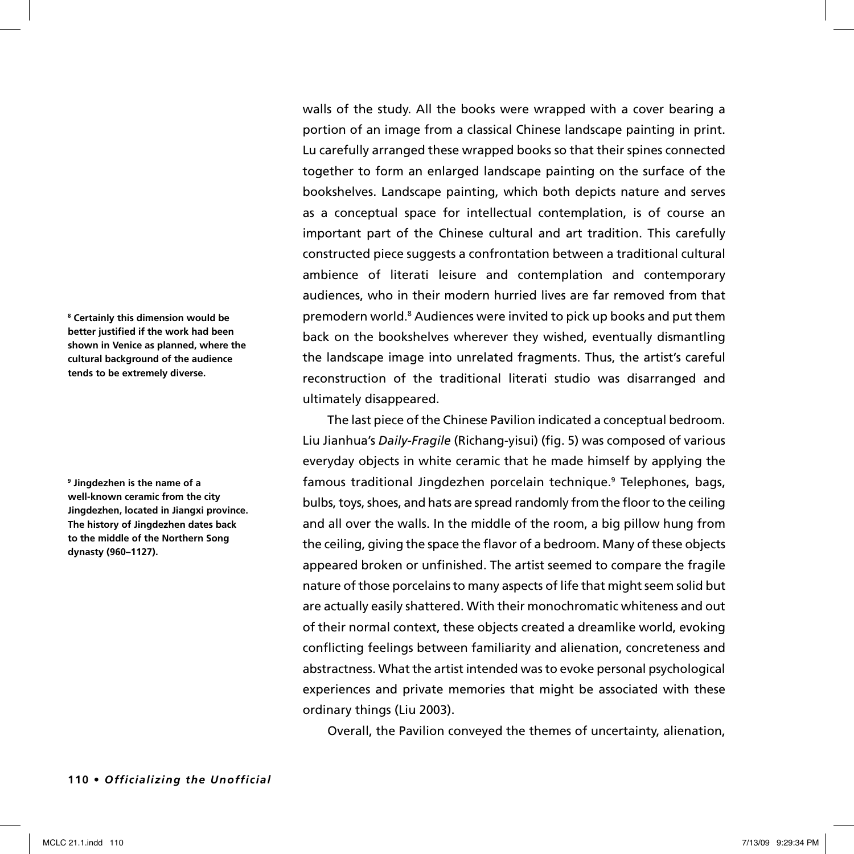**8 Certainly this dimension would be better justified if the work had been shown in Venice as planned, where the cultural background of the audience tends to be extremely diverse.** 

**9 Jingdezhen is the name of a well-known ceramic from the city Jingdezhen, located in Jiangxi province. The history of Jingdezhen dates back to the middle of the Northern Song dynasty (960–1127).**

walls of the study. All the books were wrapped with a cover bearing a portion of an image from a classical Chinese landscape painting in print. Lu carefully arranged these wrapped books so that their spines connected together to form an enlarged landscape painting on the surface of the bookshelves. Landscape painting, which both depicts nature and serves as a conceptual space for intellectual contemplation, is of course an important part of the Chinese cultural and art tradition. This carefully constructed piece suggests a confrontation between a traditional cultural ambience of literati leisure and contemplation and contemporary audiences, who in their modern hurried lives are far removed from that premodern world.<sup>8</sup> Audiences were invited to pick up books and put them back on the bookshelves wherever they wished, eventually dismantling the landscape image into unrelated fragments. Thus, the artist's careful reconstruction of the traditional literati studio was disarranged and ultimately disappeared.

The last piece of the Chinese Pavilion indicated a conceptual bedroom. Liu Jianhua's *Daily-Fragile* (Richang-yisui) (fig. 5) was composed of various everyday objects in white ceramic that he made himself by applying the famous traditional Jingdezhen porcelain technique.<sup>9</sup> Telephones, bags, bulbs, toys, shoes, and hats are spread randomly from the floor to the ceiling and all over the walls. In the middle of the room, a big pillow hung from the ceiling, giving the space the flavor of a bedroom. Many of these objects appeared broken or unfinished. The artist seemed to compare the fragile nature of those porcelains to many aspects of life that might seem solid but are actually easily shattered. With their monochromatic whiteness and out of their normal context, these objects created a dreamlike world, evoking conflicting feelings between familiarity and alienation, concreteness and abstractness. What the artist intended was to evoke personal psychological experiences and private memories that might be associated with these ordinary things (Liu 2003).

Overall, the Pavilion conveyed the themes of uncertainty, alienation,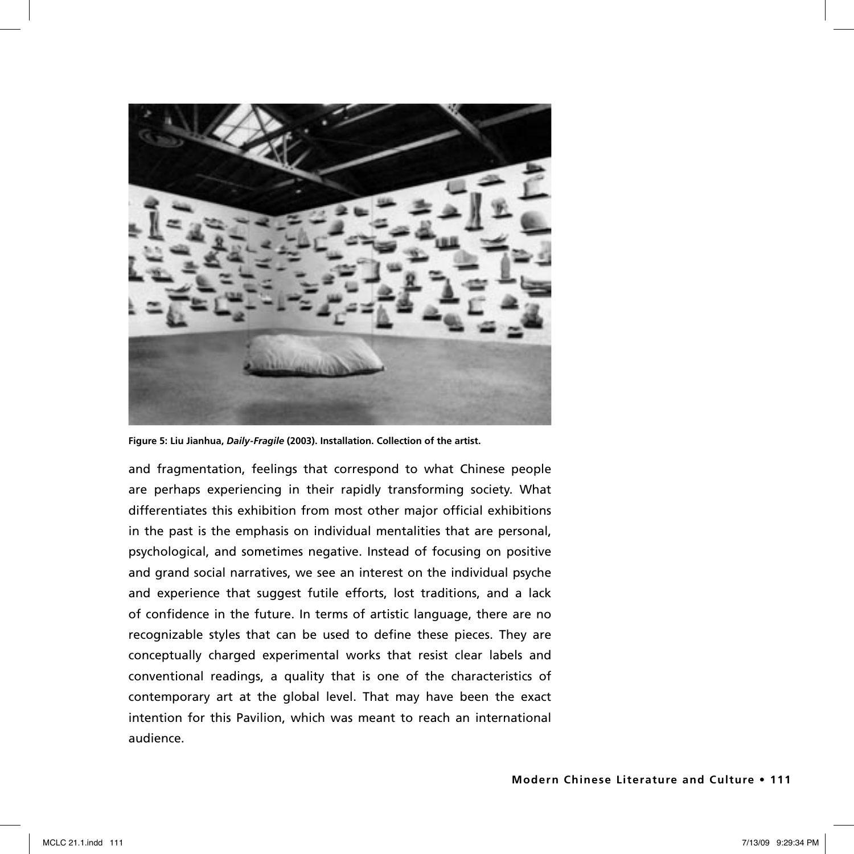

**Figure 5: Liu Jianhua,** *Daily-Fragile* **(2003). Installation. Collection of the artist.** 

and fragmentation, feelings that correspond to what Chinese people are perhaps experiencing in their rapidly transforming society. What differentiates this exhibition from most other major official exhibitions in the past is the emphasis on individual mentalities that are personal, psychological, and sometimes negative. Instead of focusing on positive and grand social narratives, we see an interest on the individual psyche and experience that suggest futile efforts, lost traditions, and a lack of confidence in the future. In terms of artistic language, there are no recognizable styles that can be used to define these pieces. They are conceptually charged experimental works that resist clear labels and conventional readings, a quality that is one of the characteristics of contemporary art at the global level. That may have been the exact intention for this Pavilion, which was meant to reach an international audience.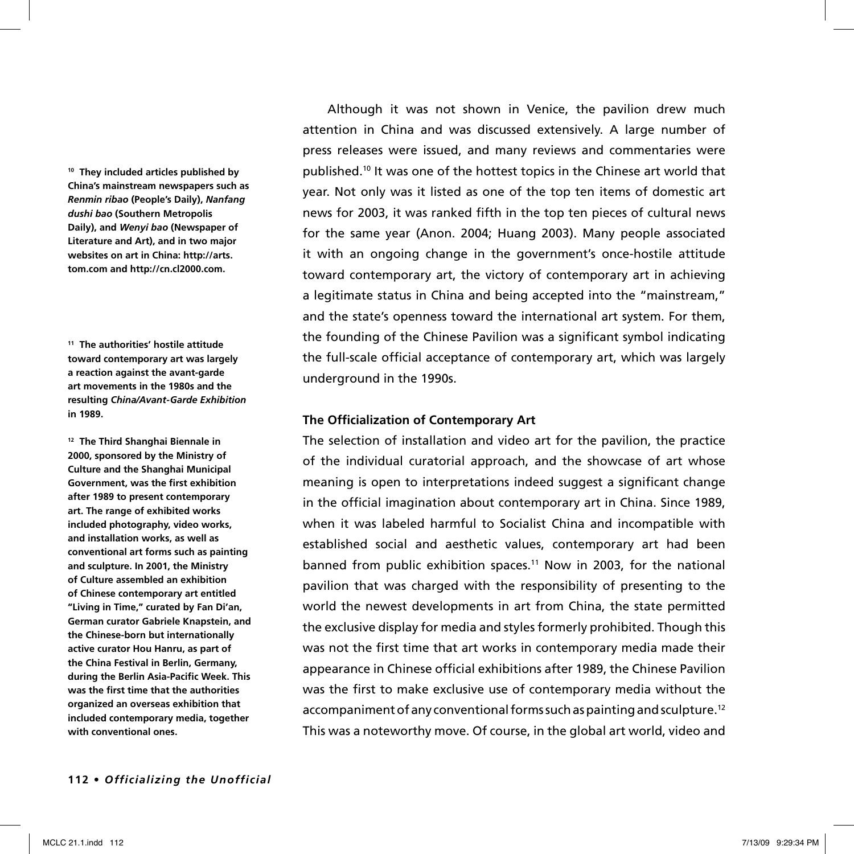**10 They included articles published by China's mainstream newspapers such as**  *Renmin ribao* **(People's Daily),** *Nanfang dushi bao* **(Southern Metropolis Daily), and** *Wenyi bao* **(Newspaper of Literature and Art), and in two major websites on art in China: http://arts. tom.com and http://cn.cl2000.com.**

**11 The authorities' hostile attitude toward contemporary art was largely a reaction against the avant-garde art movements in the 1980s and the resulting** *China/Avant-Garde Exhibition* **in 1989.**

**12 The Third Shanghai Biennale in 2000, sponsored by the Ministry of Culture and the Shanghai Municipal Government, was the first exhibition after 1989 to present contemporary art. The range of exhibited works included photography, video works, and installation works, as well as conventional art forms such as painting and sculpture. In 2001, the Ministry of Culture assembled an exhibition of Chinese contemporary art entitled "Living in Time," curated by Fan Di'an, German curator Gabriele Knapstein, and the Chinese-born but internationally active curator Hou Hanru, as part of the China Festival in Berlin, Germany, during the Berlin Asia-Pacific Week. This was the first time that the authorities organized an overseas exhibition that included contemporary media, together with conventional ones.**

Although it was not shown in Venice, the pavilion drew much attention in China and was discussed extensively. A large number of press releases were issued, and many reviews and commentaries were published.10 It was one of the hottest topics in the Chinese art world that year. Not only was it listed as one of the top ten items of domestic art news for 2003, it was ranked fifth in the top ten pieces of cultural news for the same year (Anon. 2004; Huang 2003). Many people associated it with an ongoing change in the government's once-hostile attitude toward contemporary art, the victory of contemporary art in achieving a legitimate status in China and being accepted into the "mainstream," and the state's openness toward the international art system. For them, the founding of the Chinese Pavilion was a significant symbol indicating the full-scale official acceptance of contemporary art, which was largely underground in the 1990s.

## **The Officialization of Contemporary Art**

The selection of installation and video art for the pavilion, the practice of the individual curatorial approach, and the showcase of art whose meaning is open to interpretations indeed suggest a significant change in the official imagination about contemporary art in China. Since 1989, when it was labeled harmful to Socialist China and incompatible with established social and aesthetic values, contemporary art had been banned from public exhibition spaces.<sup>11</sup> Now in 2003, for the national pavilion that was charged with the responsibility of presenting to the world the newest developments in art from China, the state permitted the exclusive display for media and styles formerly prohibited. Though this was not the first time that art works in contemporary media made their appearance in Chinese official exhibitions after 1989, the Chinese Pavilion was the first to make exclusive use of contemporary media without the accompaniment of any conventional forms such as painting and sculpture.<sup>12</sup> This was a noteworthy move. Of course, in the global art world, video and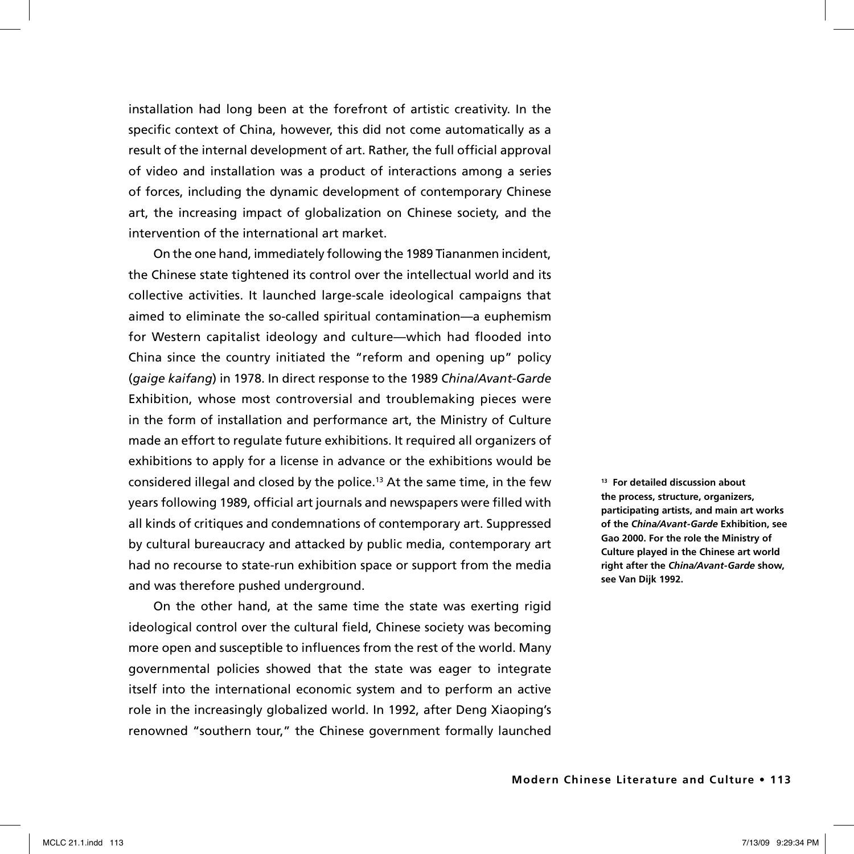installation had long been at the forefront of artistic creativity. In the specific context of China, however, this did not come automatically as a result of the internal development of art. Rather, the full official approval of video and installation was a product of interactions among a series of forces, including the dynamic development of contemporary Chinese art, the increasing impact of globalization on Chinese society, and the intervention of the international art market.

On the one hand, immediately following the 1989 Tiananmen incident, the Chinese state tightened its control over the intellectual world and its collective activities. It launched large-scale ideological campaigns that aimed to eliminate the so-called spiritual contamination—a euphemism for Western capitalist ideology and culture—which had flooded into China since the country initiated the "reform and opening up" policy (*gaige kaifang*) in 1978. In direct response to the 1989 *China/Avant-Garde* Exhibition, whose most controversial and troublemaking pieces were in the form of installation and performance art, the Ministry of Culture made an effort to regulate future exhibitions. It required all organizers of exhibitions to apply for a license in advance or the exhibitions would be considered illegal and closed by the police.13 At the same time, in the few years following 1989, official art journals and newspapers were filled with all kinds of critiques and condemnations of contemporary art. Suppressed by cultural bureaucracy and attacked by public media, contemporary art had no recourse to state-run exhibition space or support from the media and was therefore pushed underground.

On the other hand, at the same time the state was exerting rigid ideological control over the cultural field, Chinese society was becoming more open and susceptible to influences from the rest of the world. Many governmental policies showed that the state was eager to integrate itself into the international economic system and to perform an active role in the increasingly globalized world. In 1992, after Deng Xiaoping's renowned "southern tour," the Chinese government formally launched

**13 For detailed discussion about the process, structure, organizers, participating artists, and main art works of the** *China/Avant-Garde* **Exhibition, see Gao 2000. For the role the Ministry of Culture played in the Chinese art world right after the** *China/Avant-Garde* **show, see Van Dijk 1992.**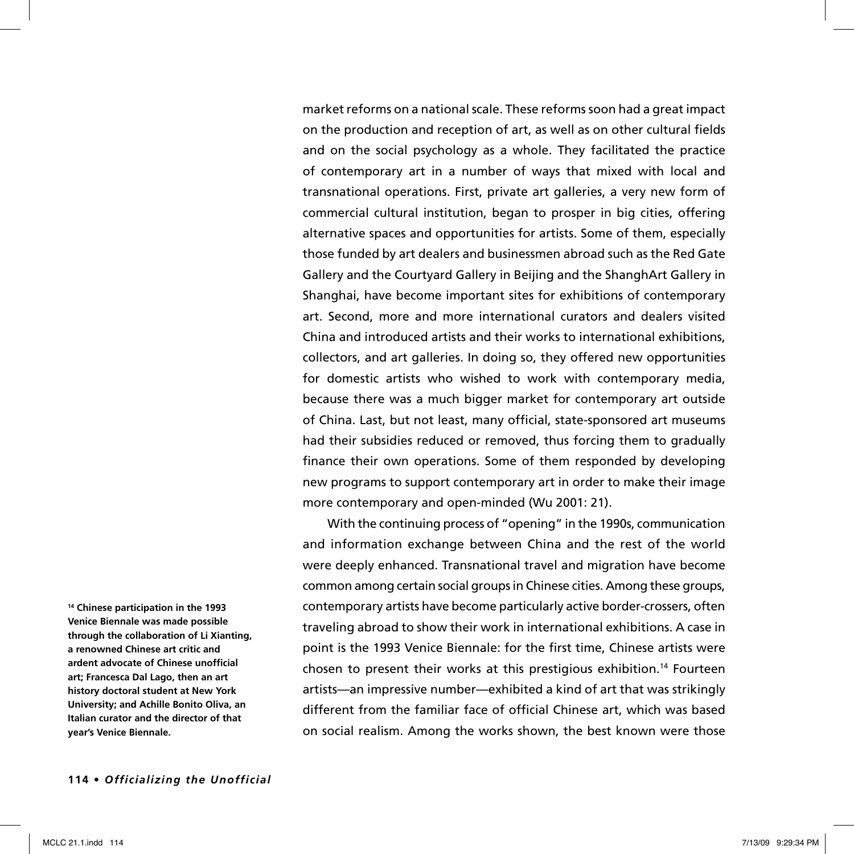market reforms on a national scale. These reforms soon had a great impact on the production and reception of art, as well as on other cultural fields and on the social psychology as a whole. They facilitated the practice of contemporary art in a number of ways that mixed with local and transnational operations. First, private art galleries, a very new form of commercial cultural institution, began to prosper in big cities, offering alternative spaces and opportunities for artists. Some of them, especially those funded by art dealers and businessmen abroad such as the Red Gate Gallery and the Courtyard Gallery in Beijing and the ShanghArt Gallery in Shanghai, have become important sites for exhibitions of contemporary art. Second, more and more international curators and dealers visited China and introduced artists and their works to international exhibitions, collectors, and art galleries. In doing so, they offered new opportunities for domestic artists who wished to work with contemporary media, because there was a much bigger market for contemporary art outside of China. Last, but not least, many official, state-sponsored art museums had their subsidies reduced or removed, thus forcing them to gradually finance their own operations. Some of them responded by developing new programs to support contemporary art in order to make their image more contemporary and open-minded (Wu 2001: 21).

With the continuing process of "opening" in the 1990s, communication and information exchange between China and the rest of the world were deeply enhanced. Transnational travel and migration have become common among certain social groups in Chinese cities. Among these groups, contemporary artists have become particularly active border-crossers, often traveling abroad to show their work in international exhibitions. A case in point is the 1993 Venice Biennale: for the first time, Chinese artists were chosen to present their works at this prestigious exhibition.14 Fourteen artists—an impressive number—exhibited a kind of art that was strikingly different from the familiar face of official Chinese art, which was based on social realism. Among the works shown, the best known were those

**14 Chinese participation in the 1993 Venice Biennale was made possible through the collaboration of Li Xianting, a renowned Chinese art critic and ardent advocate of Chinese unofficial art; Francesca Dal Lago, then an art history doctoral student at New York University; and Achille Bonito Oliva, an Italian curator and the director of that year's Venice Biennale.**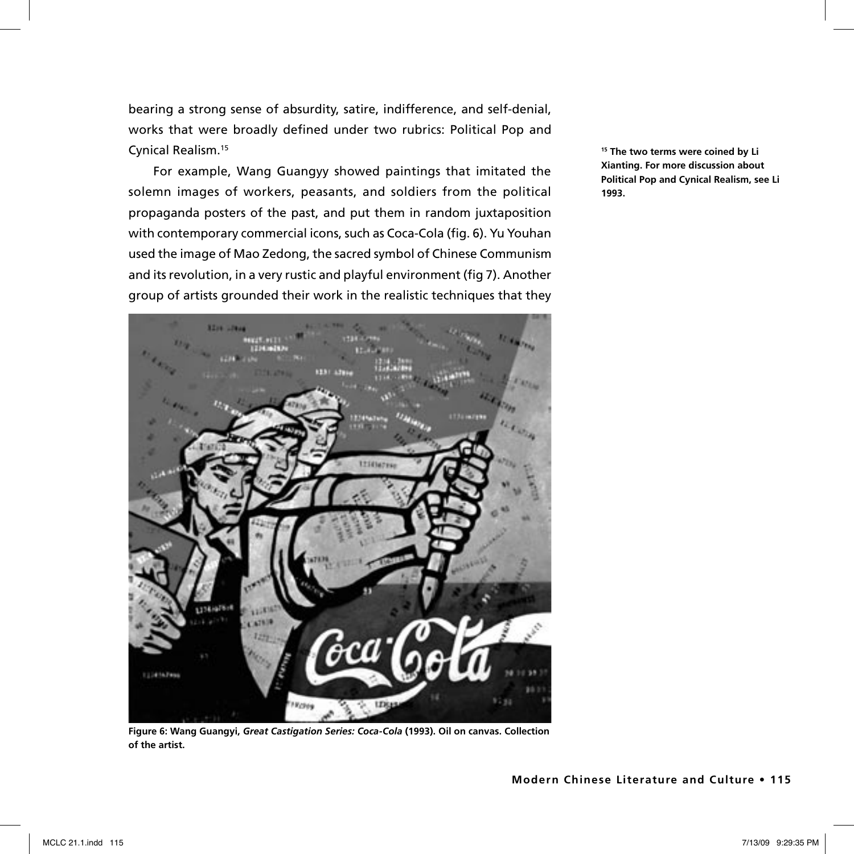bearing a strong sense of absurdity, satire, indifference, and self-denial, works that were broadly defined under two rubrics: Political Pop and Cynical Realism.15

For example, Wang Guangyy showed paintings that imitated the solemn images of workers, peasants, and soldiers from the political propaganda posters of the past, and put them in random juxtaposition with contemporary commercial icons, such as Coca-Cola (fig. 6). Yu Youhan used the image of Mao Zedong, the sacred symbol of Chinese Communism and its revolution, in a very rustic and playful environment (fig 7). Another group of artists grounded their work in the realistic techniques that they



**Figure 6: Wang Guangyi,** *Great Castigation Series: Coca-Cola* **(1993). Oil on canvas. Collection of the artist.** 

**15 The two terms were coined by Li Xianting. For more discussion about Political Pop and Cynical Realism, see Li 1993.**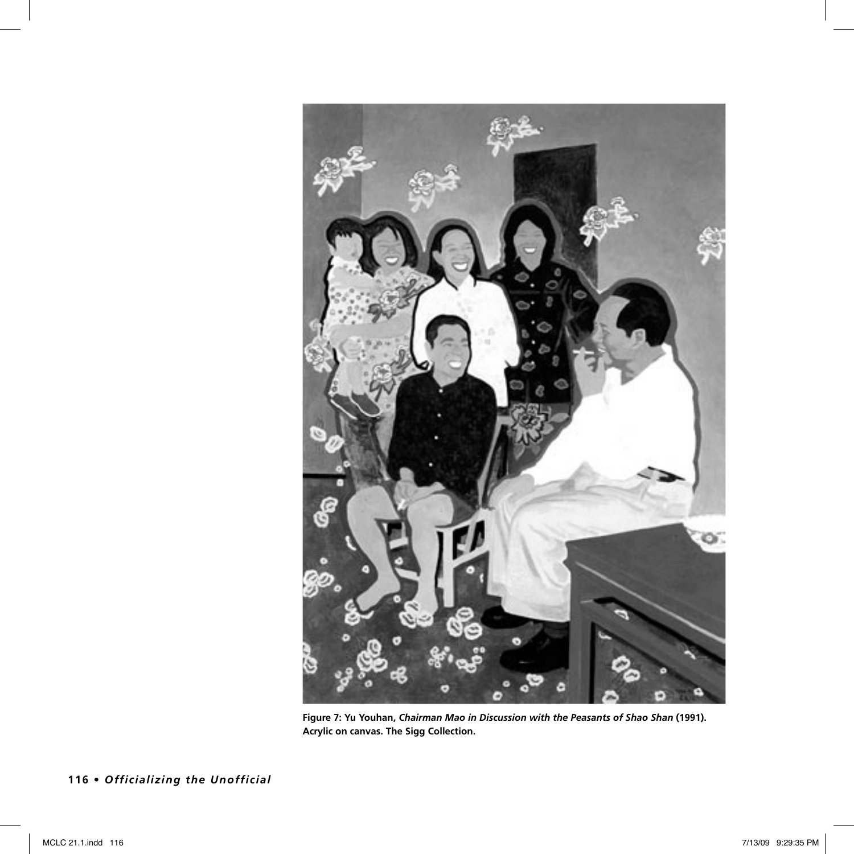

**Figure 7: Yu Youhan,** *Chairman Mao in Discussion with the Peasants of Shao Shan* **(1991). Acrylic on canvas. The Sigg Collection.** 

**116 •** *Officializing the Unofficial*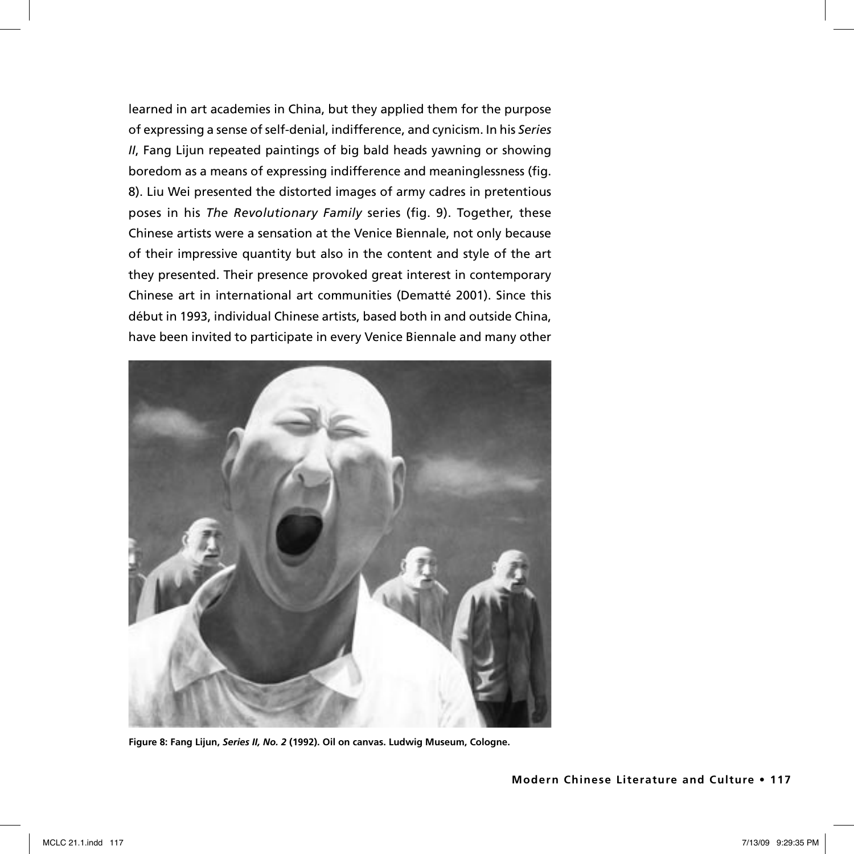learned in art academies in China, but they applied them for the purpose of expressing a sense of self-denial, indifference, and cynicism. In his *Series II*, Fang Lijun repeated paintings of big bald heads yawning or showing boredom as a means of expressing indifference and meaninglessness (fig. 8). Liu Wei presented the distorted images of army cadres in pretentious poses in his *The Revolutionary Family* series (fig. 9). Together, these Chinese artists were a sensation at the Venice Biennale, not only because of their impressive quantity but also in the content and style of the art they presented. Their presence provoked great interest in contemporary Chinese art in international art communities (Dematté 2001). Since this début in 1993, individual Chinese artists, based both in and outside China, have been invited to participate in every Venice Biennale and many other



**Figure 8: Fang Lijun,** *Series II, No. 2* **(1992). Oil on canvas. Ludwig Museum, Cologne.**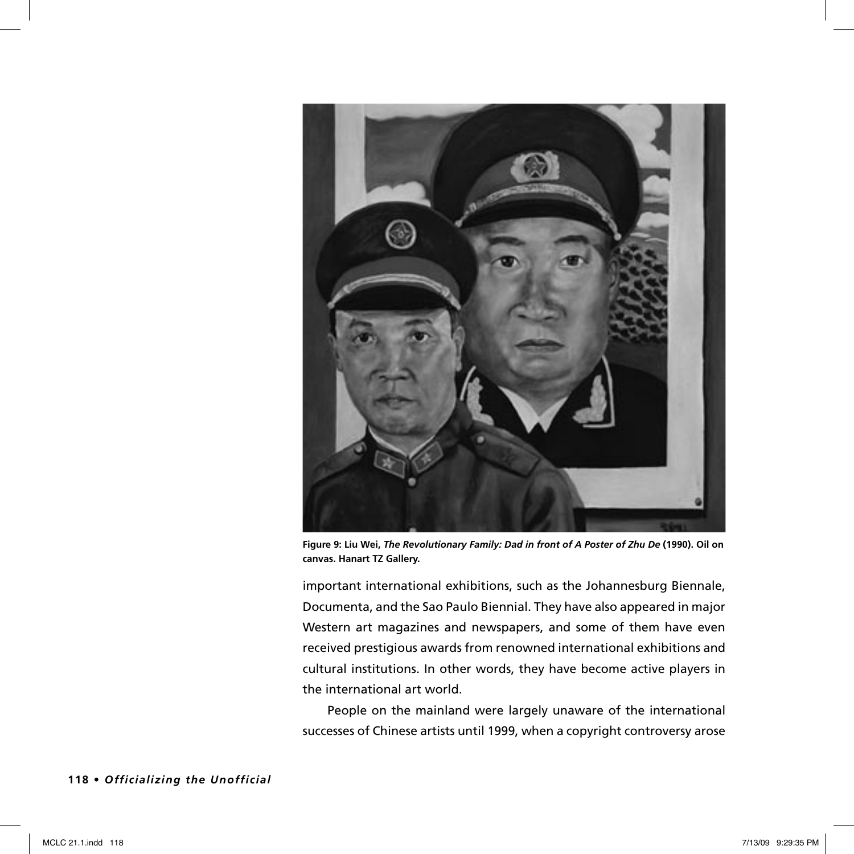

**Figure 9: Liu Wei,** *The Revolutionary Family: Dad in front of A Poster of Zhu De* **(1990). Oil on canvas. Hanart TZ Gallery.** 

important international exhibitions, such as the Johannesburg Biennale, Documenta, and the Sao Paulo Biennial. They have also appeared in major Western art magazines and newspapers, and some of them have even received prestigious awards from renowned international exhibitions and cultural institutions. In other words, they have become active players in the international art world.

People on the mainland were largely unaware of the international successes of Chinese artists until 1999, when a copyright controversy arose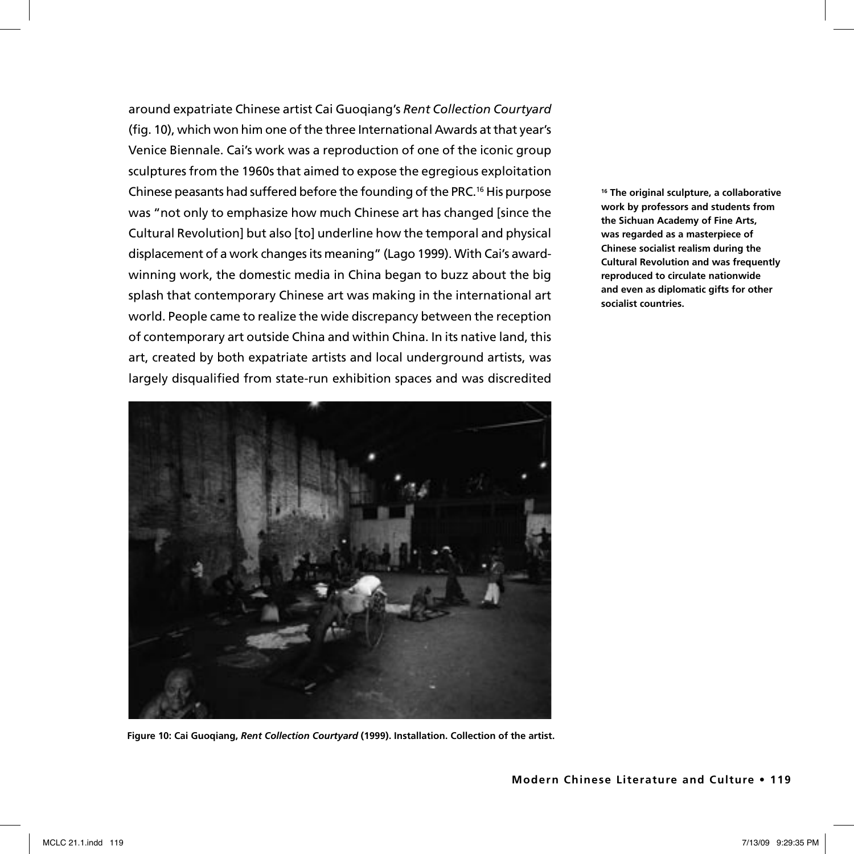around expatriate Chinese artist Cai Guoqiang's *Rent Collection Courtyard*  (fig. 10), which won him one of the three International Awards at that year's Venice Biennale. Cai's work was a reproduction of one of the iconic group sculptures from the 1960s that aimed to expose the egregious exploitation Chinese peasants had suffered before the founding of the PRC.16 His purpose was "not only to emphasize how much Chinese art has changed [since the Cultural Revolution] but also [to] underline how the temporal and physical displacement of a work changes its meaning" (Lago 1999). With Cai's awardwinning work, the domestic media in China began to buzz about the big splash that contemporary Chinese art was making in the international art world. People came to realize the wide discrepancy between the reception of contemporary art outside China and within China. In its native land, this art, created by both expatriate artists and local underground artists, was largely disqualified from state-run exhibition spaces and was discredited



**Figure 10: Cai Guoqiang,** *Rent Collection Courtyard* **(1999). Installation. Collection of the artist.** 

**16 The original sculpture, a collaborative work by professors and students from the Sichuan Academy of Fine Arts, was regarded as a masterpiece of Chinese socialist realism during the Cultural Revolution and was frequently reproduced to circulate nationwide and even as diplomatic gifts for other socialist countries.**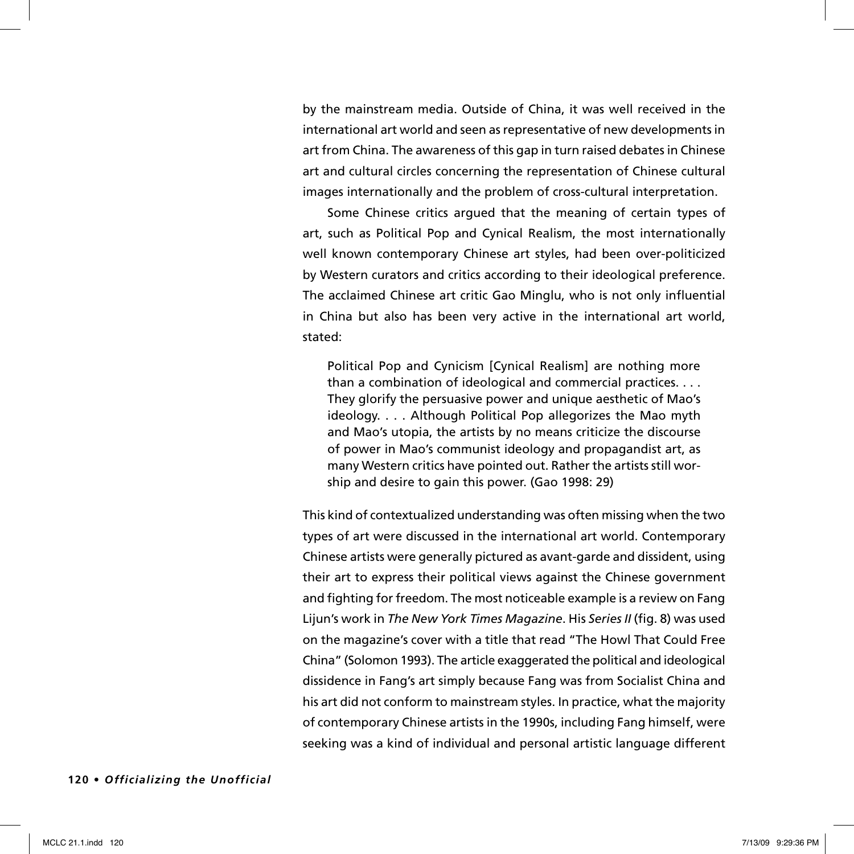by the mainstream media. Outside of China, it was well received in the international art world and seen as representative of new developments in art from China. The awareness of this gap in turn raised debates in Chinese art and cultural circles concerning the representation of Chinese cultural images internationally and the problem of cross-cultural interpretation.

Some Chinese critics argued that the meaning of certain types of art, such as Political Pop and Cynical Realism, the most internationally well known contemporary Chinese art styles, had been over-politicized by Western curators and critics according to their ideological preference. The acclaimed Chinese art critic Gao Minglu, who is not only influential in China but also has been very active in the international art world, stated:

Political Pop and Cynicism [Cynical Realism] are nothing more than a combination of ideological and commercial practices. . . . They glorify the persuasive power and unique aesthetic of Mao's ideology. . . . Although Political Pop allegorizes the Mao myth and Mao's utopia, the artists by no means criticize the discourse of power in Mao's communist ideology and propagandist art, as many Western critics have pointed out. Rather the artists still worship and desire to gain this power. (Gao 1998: 29)

This kind of contextualized understanding was often missing when the two types of art were discussed in the international art world. Contemporary Chinese artists were generally pictured as avant-garde and dissident, using their art to express their political views against the Chinese government and fighting for freedom. The most noticeable example is a review on Fang Lijun's work in *The New York Times Magazine*. His *Series II* (fig. 8) was used on the magazine's cover with a title that read "The Howl That Could Free China" (Solomon 1993). The article exaggerated the political and ideological dissidence in Fang's art simply because Fang was from Socialist China and his art did not conform to mainstream styles. In practice, what the majority of contemporary Chinese artists in the 1990s, including Fang himself, were seeking was a kind of individual and personal artistic language different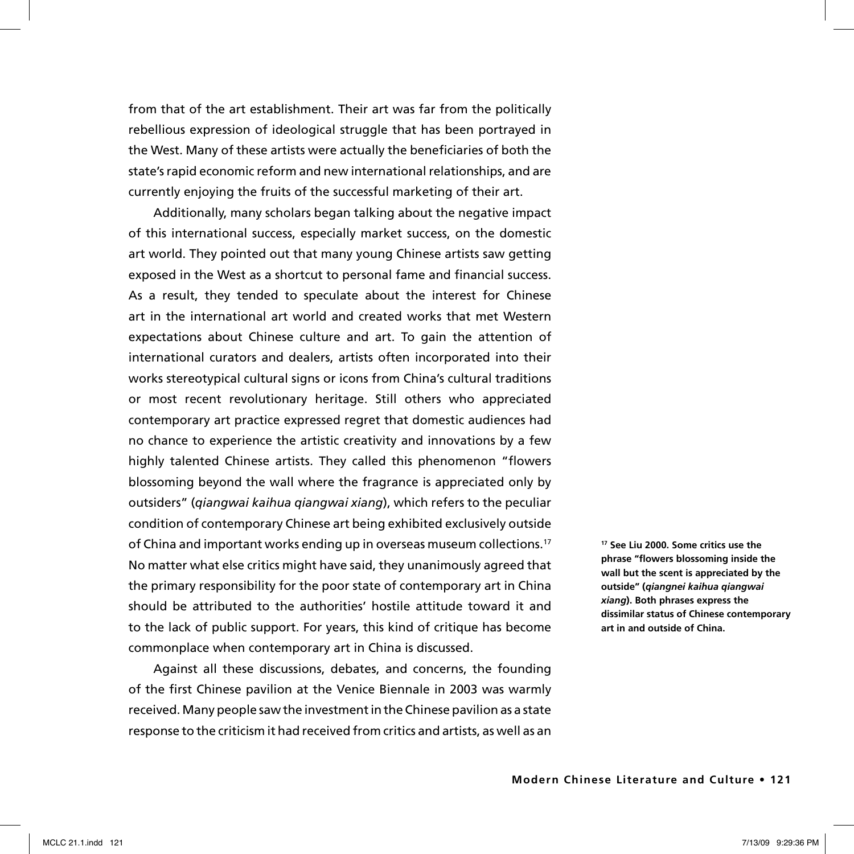from that of the art establishment. Their art was far from the politically rebellious expression of ideological struggle that has been portrayed in the West. Many of these artists were actually the beneficiaries of both the state's rapid economic reform and new international relationships, and are currently enjoying the fruits of the successful marketing of their art.

Additionally, many scholars began talking about the negative impact of this international success, especially market success, on the domestic art world. They pointed out that many young Chinese artists saw getting exposed in the West as a shortcut to personal fame and financial success. As a result, they tended to speculate about the interest for Chinese art in the international art world and created works that met Western expectations about Chinese culture and art. To gain the attention of international curators and dealers, artists often incorporated into their works stereotypical cultural signs or icons from China's cultural traditions or most recent revolutionary heritage. Still others who appreciated contemporary art practice expressed regret that domestic audiences had no chance to experience the artistic creativity and innovations by a few highly talented Chinese artists. They called this phenomenon "flowers blossoming beyond the wall where the fragrance is appreciated only by outsiders" (*qiangwai kaihua qiangwai xiang*), which refers to the peculiar condition of contemporary Chinese art being exhibited exclusively outside of China and important works ending up in overseas museum collections.17 No matter what else critics might have said, they unanimously agreed that the primary responsibility for the poor state of contemporary art in China should be attributed to the authorities' hostile attitude toward it and to the lack of public support. For years, this kind of critique has become commonplace when contemporary art in China is discussed.

Against all these discussions, debates, and concerns, the founding of the first Chinese pavilion at the Venice Biennale in 2003 was warmly received. Many people saw the investment in the Chinese pavilion as a state response to the criticism it had received from critics and artists, as well as an

**17 See Liu 2000. Some critics use the phrase "flowers blossoming inside the wall but the scent is appreciated by the outside" (***qiangnei kaihua qiangwai xiang***). Both phrases express the dissimilar status of Chinese contemporary art in and outside of China.**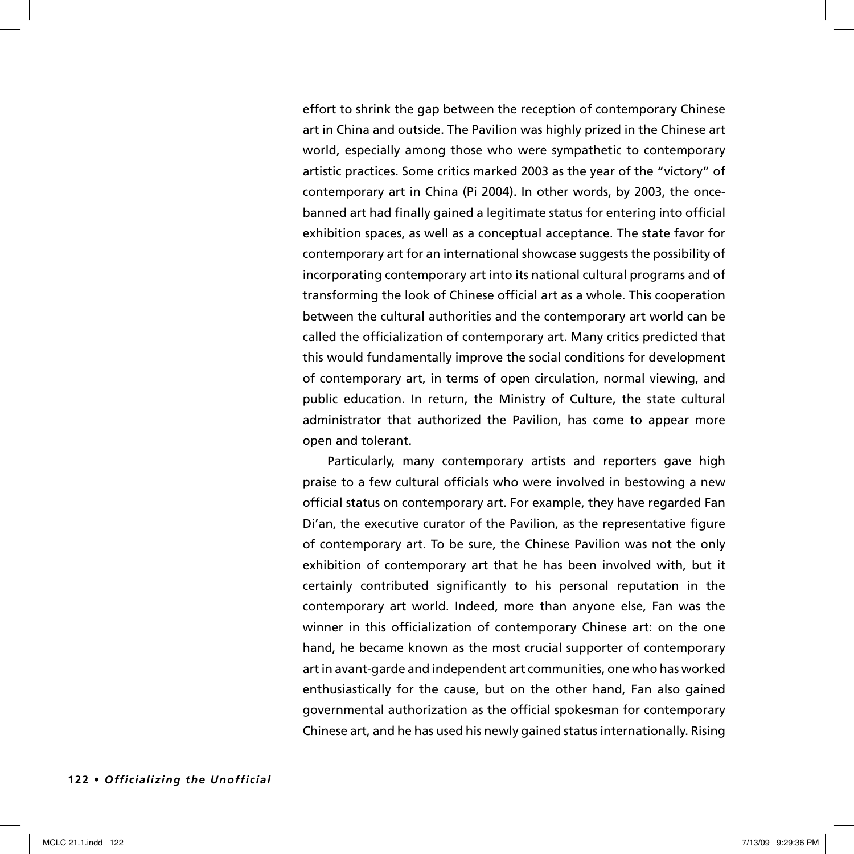effort to shrink the gap between the reception of contemporary Chinese art in China and outside. The Pavilion was highly prized in the Chinese art world, especially among those who were sympathetic to contemporary artistic practices. Some critics marked 2003 as the year of the "victory" of contemporary art in China (Pi 2004). In other words, by 2003, the oncebanned art had finally gained a legitimate status for entering into official exhibition spaces, as well as a conceptual acceptance. The state favor for contemporary art for an international showcase suggests the possibility of incorporating contemporary art into its national cultural programs and of transforming the look of Chinese official art as a whole. This cooperation between the cultural authorities and the contemporary art world can be called the officialization of contemporary art. Many critics predicted that this would fundamentally improve the social conditions for development of contemporary art, in terms of open circulation, normal viewing, and public education. In return, the Ministry of Culture, the state cultural administrator that authorized the Pavilion, has come to appear more open and tolerant.

Particularly, many contemporary artists and reporters gave high praise to a few cultural officials who were involved in bestowing a new official status on contemporary art. For example, they have regarded Fan Di'an, the executive curator of the Pavilion, as the representative figure of contemporary art. To be sure, the Chinese Pavilion was not the only exhibition of contemporary art that he has been involved with, but it certainly contributed significantly to his personal reputation in the contemporary art world. Indeed, more than anyone else, Fan was the winner in this officialization of contemporary Chinese art: on the one hand, he became known as the most crucial supporter of contemporary art in avant-garde and independent art communities, one who has worked enthusiastically for the cause, but on the other hand, Fan also gained governmental authorization as the official spokesman for contemporary Chinese art, and he has used his newly gained status internationally. Rising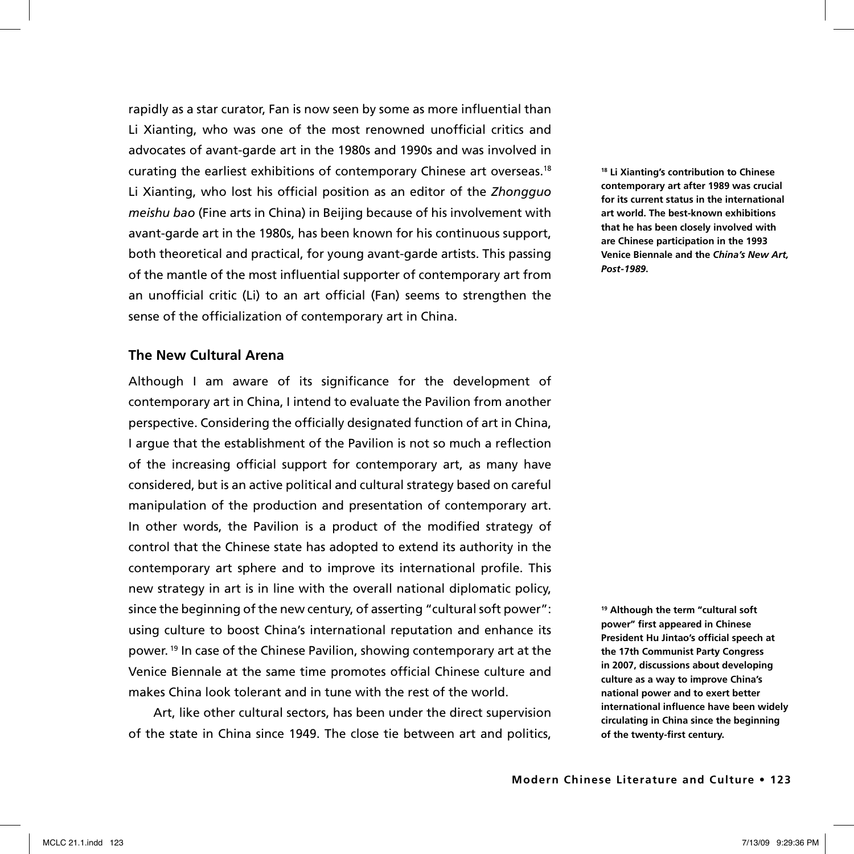rapidly as a star curator, Fan is now seen by some as more influential than Li Xianting, who was one of the most renowned unofficial critics and advocates of avant-garde art in the 1980s and 1990s and was involved in curating the earliest exhibitions of contemporary Chinese art overseas.18 Li Xianting, who lost his official position as an editor of the *Zhongguo meishu bao* (Fine arts in China) in Beijing because of his involvement with avant-garde art in the 1980s, has been known for his continuous support, both theoretical and practical, for young avant-garde artists. This passing of the mantle of the most influential supporter of contemporary art from an unofficial critic (Li) to an art official (Fan) seems to strengthen the sense of the officialization of contemporary art in China.

# **The New Cultural Arena**

Although I am aware of its significance for the development of contemporary art in China, I intend to evaluate the Pavilion from another perspective. Considering the officially designated function of art in China, I argue that the establishment of the Pavilion is not so much a reflection of the increasing official support for contemporary art, as many have considered, but is an active political and cultural strategy based on careful manipulation of the production and presentation of contemporary art. In other words, the Pavilion is a product of the modified strategy of control that the Chinese state has adopted to extend its authority in the contemporary art sphere and to improve its international profile. This new strategy in art is in line with the overall national diplomatic policy, since the beginning of the new century, of asserting "cultural soft power": using culture to boost China's international reputation and enhance its power. 19 In case of the Chinese Pavilion, showing contemporary art at the Venice Biennale at the same time promotes official Chinese culture and makes China look tolerant and in tune with the rest of the world.

Art, like other cultural sectors, has been under the direct supervision of the state in China since 1949. The close tie between art and politics,

**18 Li Xianting's contribution to Chinese contemporary art after 1989 was crucial for its current status in the international art world. The best-known exhibitions that he has been closely involved with are Chinese participation in the 1993 Venice Biennale and the** *China's New Art, Post-1989***.** 

**<sup>19</sup> Although the term "cultural soft power" first appeared in Chinese President Hu Jintao's official speech at the 17th Communist Party Congress in 2007, discussions about developing culture as a way to improve China's national power and to exert better international influence have been widely circulating in China since the beginning of the twenty-first century.**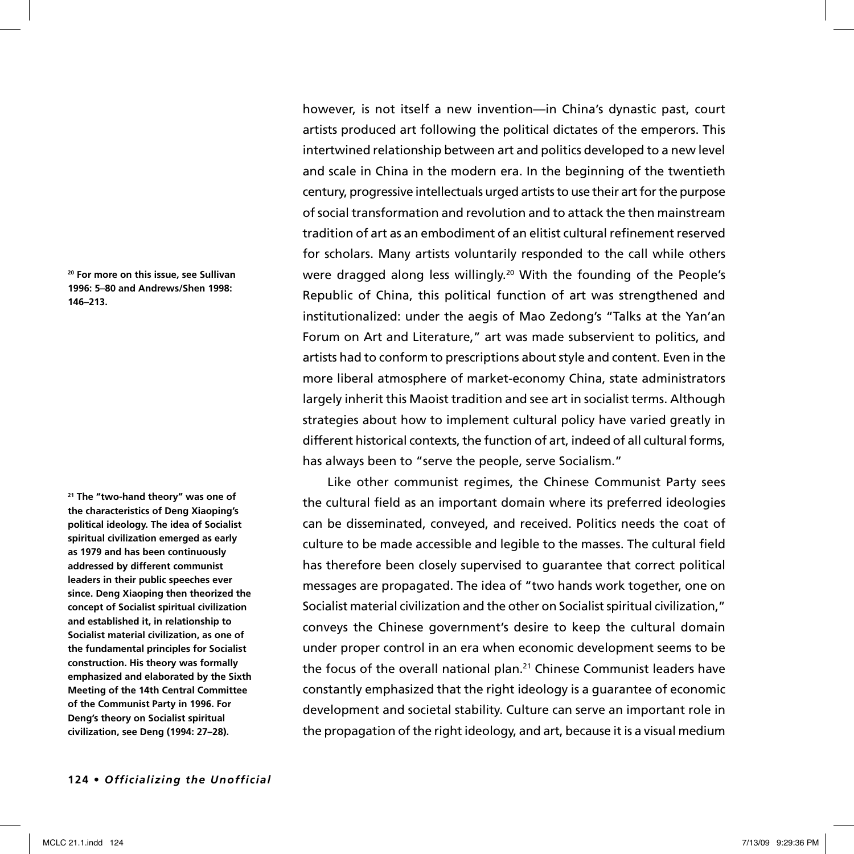**20 For more on this issue, see Sullivan 1996: 5–80 and Andrews/Shen 1998: 146–213.** 

**21 The "two-hand theory" was one of the characteristics of Deng Xiaoping's political ideology. The idea of Socialist spiritual civilization emerged as early as 1979 and has been continuously addressed by different communist leaders in their public speeches ever since. Deng Xiaoping then theorized the concept of Socialist spiritual civilization and established it, in relationship to Socialist material civilization, as one of the fundamental principles for Socialist construction. His theory was formally emphasized and elaborated by the Sixth Meeting of the 14th Central Committee of the Communist Party in 1996. For Deng's theory on Socialist spiritual civilization, see Deng (1994: 27–28).** 

however, is not itself a new invention—in China's dynastic past, court artists produced art following the political dictates of the emperors. This intertwined relationship between art and politics developed to a new level and scale in China in the modern era. In the beginning of the twentieth century, progressive intellectuals urged artists to use their art for the purpose of social transformation and revolution and to attack the then mainstream tradition of art as an embodiment of an elitist cultural refinement reserved for scholars. Many artists voluntarily responded to the call while others were dragged along less willingly.20 With the founding of the People's Republic of China, this political function of art was strengthened and institutionalized: under the aegis of Mao Zedong's "Talks at the Yan'an Forum on Art and Literature," art was made subservient to politics, and artists had to conform to prescriptions about style and content. Even in the more liberal atmosphere of market-economy China, state administrators largely inherit this Maoist tradition and see art in socialist terms. Although strategies about how to implement cultural policy have varied greatly in different historical contexts, the function of art, indeed of all cultural forms, has always been to "serve the people, serve Socialism."

Like other communist regimes, the Chinese Communist Party sees the cultural field as an important domain where its preferred ideologies can be disseminated, conveyed, and received. Politics needs the coat of culture to be made accessible and legible to the masses. The cultural field has therefore been closely supervised to guarantee that correct political messages are propagated. The idea of "two hands work together, one on Socialist material civilization and the other on Socialist spiritual civilization," conveys the Chinese government's desire to keep the cultural domain under proper control in an era when economic development seems to be the focus of the overall national plan.<sup>21</sup> Chinese Communist leaders have constantly emphasized that the right ideology is a guarantee of economic development and societal stability. Culture can serve an important role in the propagation of the right ideology, and art, because it is a visual medium

**124 •** *Officializing the Unofficial*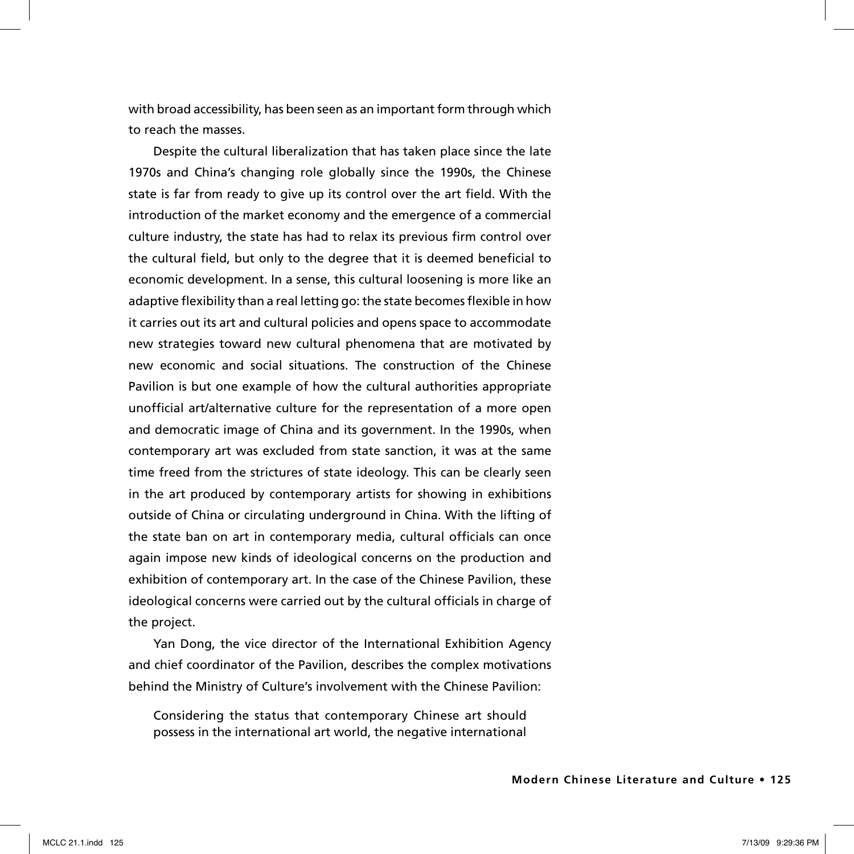with broad accessibility, has been seen as an important form through which to reach the masses.

Despite the cultural liberalization that has taken place since the late 1970s and China's changing role globally since the 1990s, the Chinese state is far from ready to give up its control over the art field. With the introduction of the market economy and the emergence of a commercial culture industry, the state has had to relax its previous firm control over the cultural field, but only to the degree that it is deemed beneficial to economic development. In a sense, this cultural loosening is more like an adaptive flexibility than a real letting go: the state becomes flexible in how it carries out its art and cultural policies and opens space to accommodate new strategies toward new cultural phenomena that are motivated by new economic and social situations. The construction of the Chinese Pavilion is but one example of how the cultural authorities appropriate unofficial art/alternative culture for the representation of a more open and democratic image of China and its government. In the 1990s, when contemporary art was excluded from state sanction, it was at the same time freed from the strictures of state ideology. This can be clearly seen in the art produced by contemporary artists for showing in exhibitions outside of China or circulating underground in China. With the lifting of the state ban on art in contemporary media, cultural officials can once again impose new kinds of ideological concerns on the production and exhibition of contemporary art. In the case of the Chinese Pavilion, these ideological concerns were carried out by the cultural officials in charge of the project.

Yan Dong, the vice director of the International Exhibition Agency and chief coordinator of the Pavilion, describes the complex motivations behind the Ministry of Culture's involvement with the Chinese Pavilion:

Considering the status that contemporary Chinese art should possess in the international art world, the negative international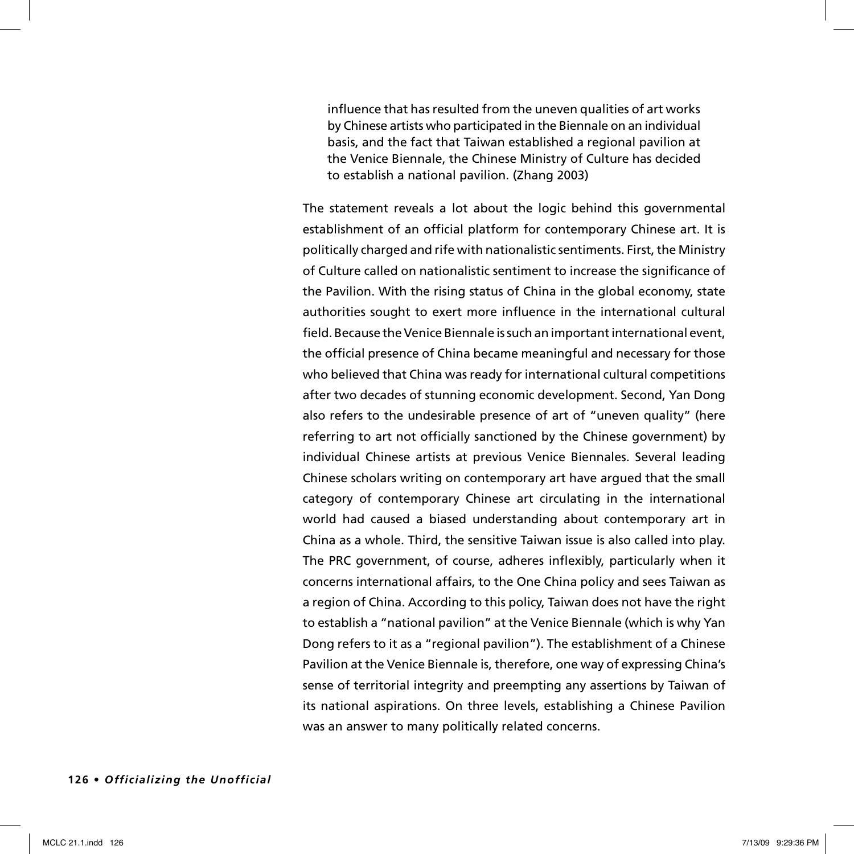influence that has resulted from the uneven qualities of art works by Chinese artists who participated in the Biennale on an individual basis, and the fact that Taiwan established a regional pavilion at the Venice Biennale, the Chinese Ministry of Culture has decided to establish a national pavilion. (Zhang 2003)

The statement reveals a lot about the logic behind this governmental establishment of an official platform for contemporary Chinese art. It is politically charged and rife with nationalistic sentiments. First, the Ministry of Culture called on nationalistic sentiment to increase the significance of the Pavilion. With the rising status of China in the global economy, state authorities sought to exert more influence in the international cultural field. Because the Venice Biennale is such an important international event, the official presence of China became meaningful and necessary for those who believed that China was ready for international cultural competitions after two decades of stunning economic development. Second, Yan Dong also refers to the undesirable presence of art of "uneven quality" (here referring to art not officially sanctioned by the Chinese government) by individual Chinese artists at previous Venice Biennales. Several leading Chinese scholars writing on contemporary art have argued that the small category of contemporary Chinese art circulating in the international world had caused a biased understanding about contemporary art in China as a whole. Third, the sensitive Taiwan issue is also called into play. The PRC government, of course, adheres inflexibly, particularly when it concerns international affairs, to the One China policy and sees Taiwan as a region of China. According to this policy, Taiwan does not have the right to establish a "national pavilion" at the Venice Biennale (which is why Yan Dong refers to it as a "regional pavilion"). The establishment of a Chinese Pavilion at the Venice Biennale is, therefore, one way of expressing China's sense of territorial integrity and preempting any assertions by Taiwan of its national aspirations. On three levels, establishing a Chinese Pavilion was an answer to many politically related concerns.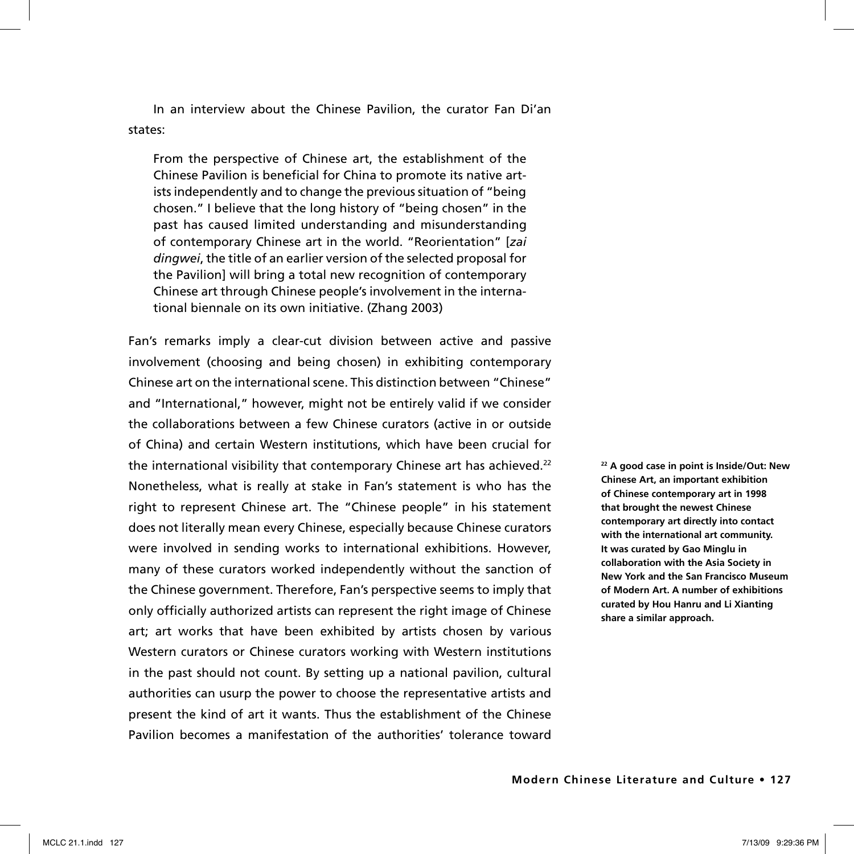In an interview about the Chinese Pavilion, the curator Fan Di'an states:

From the perspective of Chinese art, the establishment of the Chinese Pavilion is beneficial for China to promote its native artists independently and to change the previous situation of "being chosen." I believe that the long history of "being chosen" in the past has caused limited understanding and misunderstanding of contemporary Chinese art in the world. "Reorientation" [*zai dingwei*, the title of an earlier version of the selected proposal for the Pavilion] will bring a total new recognition of contemporary Chinese art through Chinese people's involvement in the international biennale on its own initiative. (Zhang 2003)

Fan's remarks imply a clear-cut division between active and passive involvement (choosing and being chosen) in exhibiting contemporary Chinese art on the international scene. This distinction between "Chinese" and "International," however, might not be entirely valid if we consider the collaborations between a few Chinese curators (active in or outside of China) and certain Western institutions, which have been crucial for the international visibility that contemporary Chinese art has achieved.<sup>22</sup> Nonetheless, what is really at stake in Fan's statement is who has the right to represent Chinese art. The "Chinese people" in his statement does not literally mean every Chinese, especially because Chinese curators were involved in sending works to international exhibitions. However, many of these curators worked independently without the sanction of the Chinese government. Therefore, Fan's perspective seems to imply that only officially authorized artists can represent the right image of Chinese art; art works that have been exhibited by artists chosen by various Western curators or Chinese curators working with Western institutions in the past should not count. By setting up a national pavilion, cultural authorities can usurp the power to choose the representative artists and present the kind of art it wants. Thus the establishment of the Chinese Pavilion becomes a manifestation of the authorities' tolerance toward

**22 A good case in point is Inside/Out: New Chinese Art, an important exhibition of Chinese contemporary art in 1998 that brought the newest Chinese contemporary art directly into contact with the international art community. It was curated by Gao Minglu in collaboration with the Asia Society in New York and the San Francisco Museum of Modern Art. A number of exhibitions curated by Hou Hanru and Li Xianting share a similar approach.**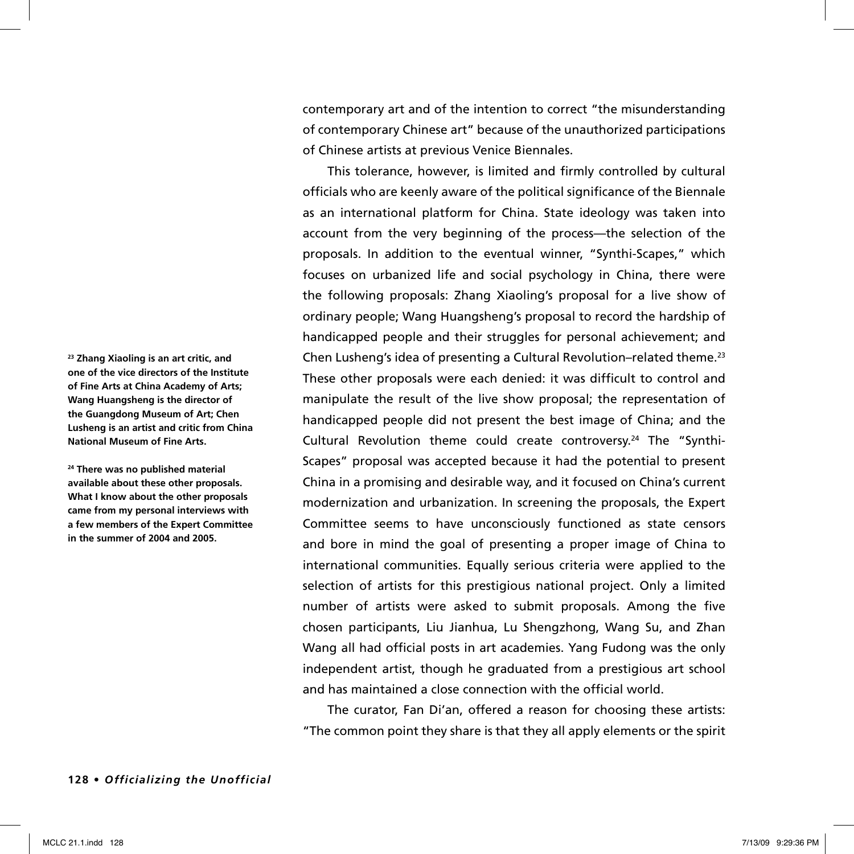**23 Zhang Xiaoling is an art critic, and one of the vice directors of the Institute of Fine Arts at China Academy of Arts; Wang Huangsheng is the director of the Guangdong Museum of Art; Chen Lusheng is an artist and critic from China National Museum of Fine Arts.**

**24 There was no published material available about these other proposals. What I know about the other proposals came from my personal interviews with a few members of the Expert Committee in the summer of 2004 and 2005.**

contemporary art and of the intention to correct "the misunderstanding of contemporary Chinese art" because of the unauthorized participations of Chinese artists at previous Venice Biennales.

This tolerance, however, is limited and firmly controlled by cultural officials who are keenly aware of the political significance of the Biennale as an international platform for China. State ideology was taken into account from the very beginning of the process—the selection of the proposals. In addition to the eventual winner, "Synthi-Scapes," which focuses on urbanized life and social psychology in China, there were the following proposals: Zhang Xiaoling's proposal for a live show of ordinary people; Wang Huangsheng's proposal to record the hardship of handicapped people and their struggles for personal achievement; and Chen Lusheng's idea of presenting a Cultural Revolution–related theme.23 These other proposals were each denied: it was difficult to control and manipulate the result of the live show proposal; the representation of handicapped people did not present the best image of China; and the Cultural Revolution theme could create controversy.24 The "Synthi-Scapes" proposal was accepted because it had the potential to present China in a promising and desirable way, and it focused on China's current modernization and urbanization. In screening the proposals, the Expert Committee seems to have unconsciously functioned as state censors and bore in mind the goal of presenting a proper image of China to international communities. Equally serious criteria were applied to the selection of artists for this prestigious national project. Only a limited number of artists were asked to submit proposals. Among the five chosen participants, Liu Jianhua, Lu Shengzhong, Wang Su, and Zhan Wang all had official posts in art academies. Yang Fudong was the only independent artist, though he graduated from a prestigious art school and has maintained a close connection with the official world.

The curator, Fan Di'an, offered a reason for choosing these artists: "The common point they share is that they all apply elements or the spirit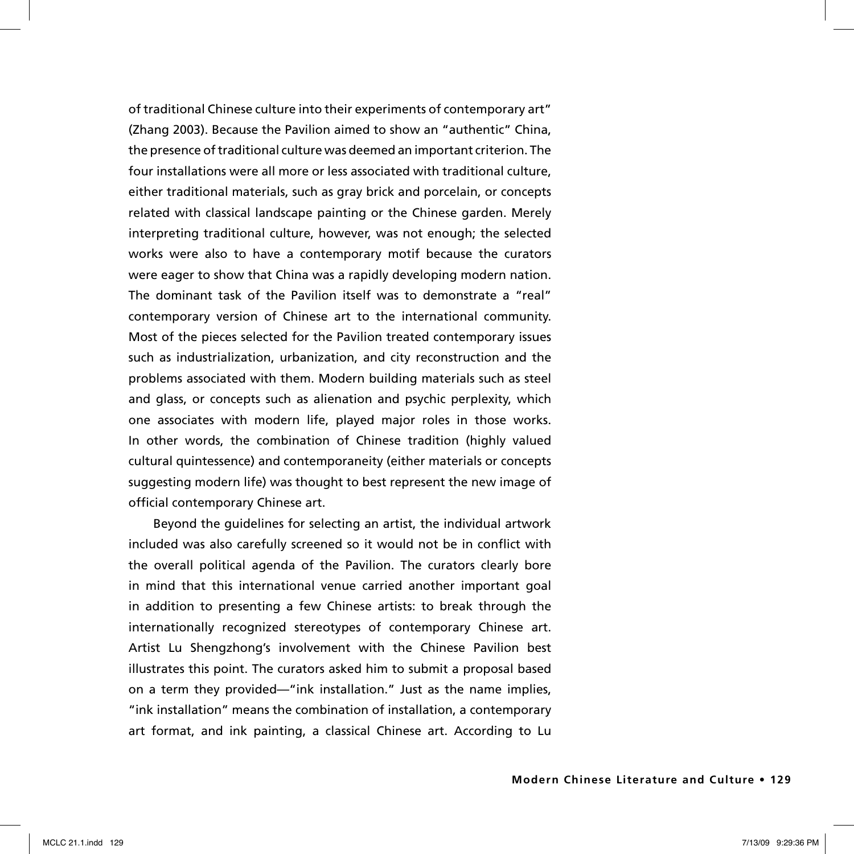of traditional Chinese culture into their experiments of contemporary art" (Zhang 2003). Because the Pavilion aimed to show an "authentic" China, the presence of traditional culture was deemed an important criterion. The four installations were all more or less associated with traditional culture, either traditional materials, such as gray brick and porcelain, or concepts related with classical landscape painting or the Chinese garden. Merely interpreting traditional culture, however, was not enough; the selected works were also to have a contemporary motif because the curators were eager to show that China was a rapidly developing modern nation. The dominant task of the Pavilion itself was to demonstrate a "real" contemporary version of Chinese art to the international community. Most of the pieces selected for the Pavilion treated contemporary issues such as industrialization, urbanization, and city reconstruction and the problems associated with them. Modern building materials such as steel and glass, or concepts such as alienation and psychic perplexity, which one associates with modern life, played major roles in those works. In other words, the combination of Chinese tradition (highly valued cultural quintessence) and contemporaneity (either materials or concepts suggesting modern life) was thought to best represent the new image of official contemporary Chinese art.

Beyond the guidelines for selecting an artist, the individual artwork included was also carefully screened so it would not be in conflict with the overall political agenda of the Pavilion. The curators clearly bore in mind that this international venue carried another important goal in addition to presenting a few Chinese artists: to break through the internationally recognized stereotypes of contemporary Chinese art. Artist Lu Shengzhong's involvement with the Chinese Pavilion best illustrates this point. The curators asked him to submit a proposal based on a term they provided—"ink installation." Just as the name implies, "ink installation" means the combination of installation, a contemporary art format, and ink painting, a classical Chinese art. According to Lu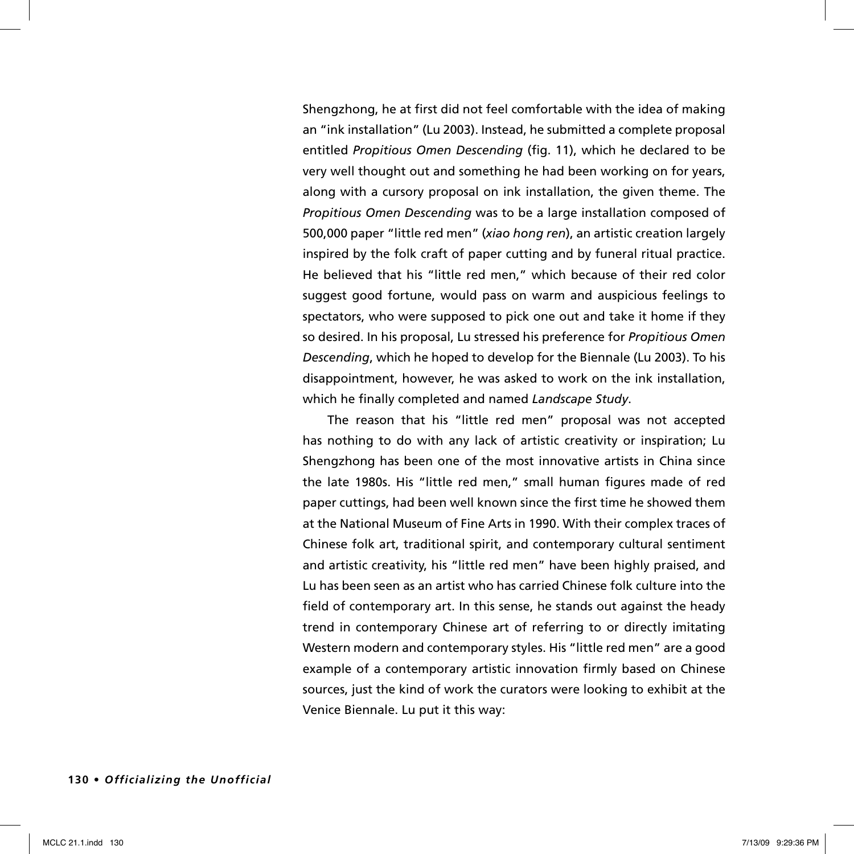Shengzhong, he at first did not feel comfortable with the idea of making an "ink installation" (Lu 2003). Instead, he submitted a complete proposal entitled *Propitious Omen Descending* (fig. 11), which he declared to be very well thought out and something he had been working on for years, along with a cursory proposal on ink installation, the given theme. The *Propitious Omen Descending* was to be a large installation composed of 500,000 paper "little red men" (*xiao hong ren*), an artistic creation largely inspired by the folk craft of paper cutting and by funeral ritual practice. He believed that his "little red men," which because of their red color suggest good fortune, would pass on warm and auspicious feelings to spectators, who were supposed to pick one out and take it home if they so desired. In his proposal, Lu stressed his preference for *Propitious Omen Descending*, which he hoped to develop for the Biennale (Lu 2003). To his disappointment, however, he was asked to work on the ink installation, which he finally completed and named *Landscape Study*.

The reason that his "little red men" proposal was not accepted has nothing to do with any lack of artistic creativity or inspiration; Lu Shengzhong has been one of the most innovative artists in China since the late 1980s. His "little red men," small human figures made of red paper cuttings, had been well known since the first time he showed them at the National Museum of Fine Arts in 1990. With their complex traces of Chinese folk art, traditional spirit, and contemporary cultural sentiment and artistic creativity, his "little red men" have been highly praised, and Lu has been seen as an artist who has carried Chinese folk culture into the field of contemporary art. In this sense, he stands out against the heady trend in contemporary Chinese art of referring to or directly imitating Western modern and contemporary styles. His "little red men" are a good example of a contemporary artistic innovation firmly based on Chinese sources, just the kind of work the curators were looking to exhibit at the Venice Biennale. Lu put it this way: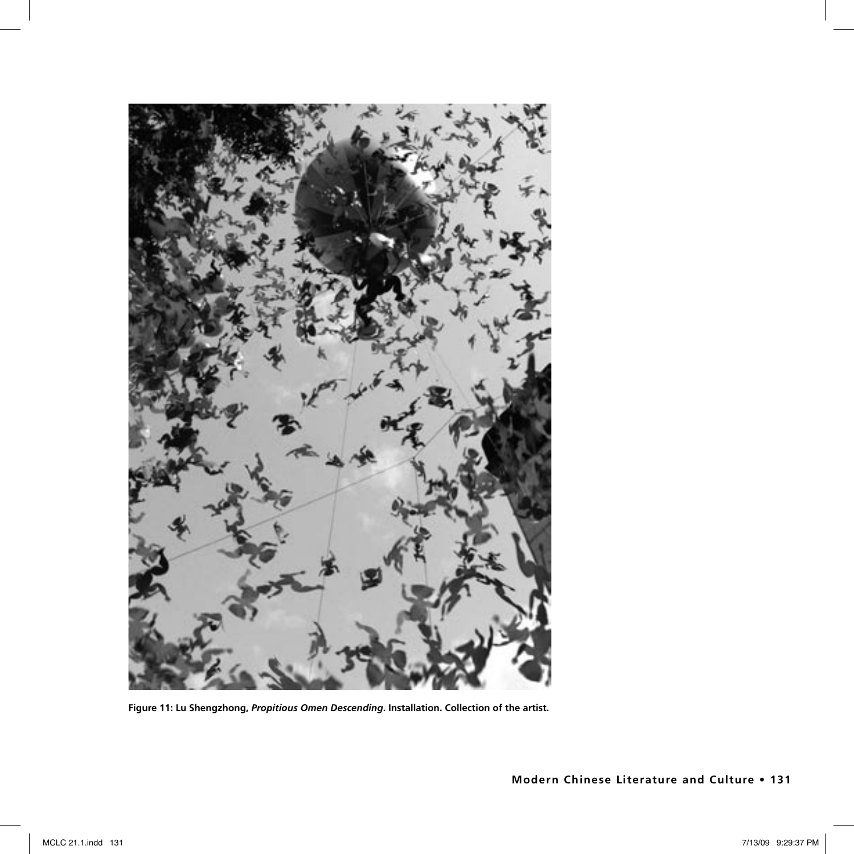

**Figure 11: Lu Shengzhong,** *Propitious Omen Descending***. Installation. Collection of the artist.**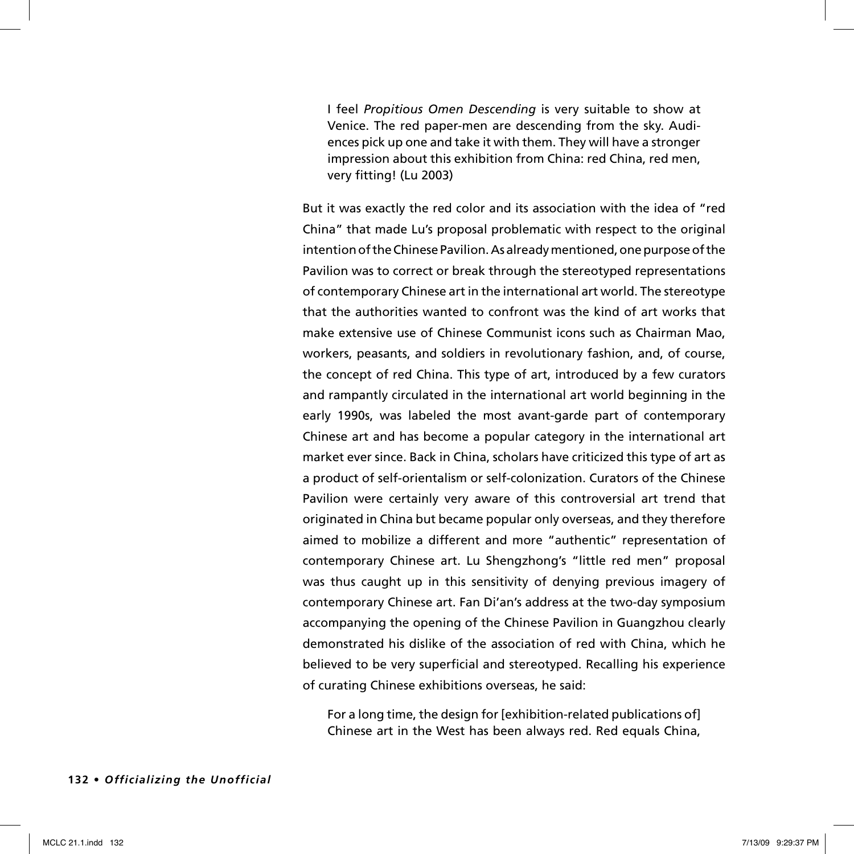I feel *Propitious Omen Descending* is very suitable to show at Venice. The red paper-men are descending from the sky. Audiences pick up one and take it with them. They will have a stronger impression about this exhibition from China: red China, red men, very fitting! (Lu 2003)

But it was exactly the red color and its association with the idea of "red China" that made Lu's proposal problematic with respect to the original intention of the Chinese Pavilion. As already mentioned, one purpose of the Pavilion was to correct or break through the stereotyped representations of contemporary Chinese art in the international art world. The stereotype that the authorities wanted to confront was the kind of art works that make extensive use of Chinese Communist icons such as Chairman Mao, workers, peasants, and soldiers in revolutionary fashion, and, of course, the concept of red China. This type of art, introduced by a few curators and rampantly circulated in the international art world beginning in the early 1990s, was labeled the most avant-garde part of contemporary Chinese art and has become a popular category in the international art market ever since. Back in China, scholars have criticized this type of art as a product of self-orientalism or self-colonization. Curators of the Chinese Pavilion were certainly very aware of this controversial art trend that originated in China but became popular only overseas, and they therefore aimed to mobilize a different and more "authentic" representation of contemporary Chinese art. Lu Shengzhong's "little red men" proposal was thus caught up in this sensitivity of denying previous imagery of contemporary Chinese art. Fan Di'an's address at the two-day symposium accompanying the opening of the Chinese Pavilion in Guangzhou clearly demonstrated his dislike of the association of red with China, which he believed to be very superficial and stereotyped. Recalling his experience of curating Chinese exhibitions overseas, he said:

For a long time, the design for [exhibition-related publications of] Chinese art in the West has been always red. Red equals China,

#### **132 •** *Officializing the Unofficial*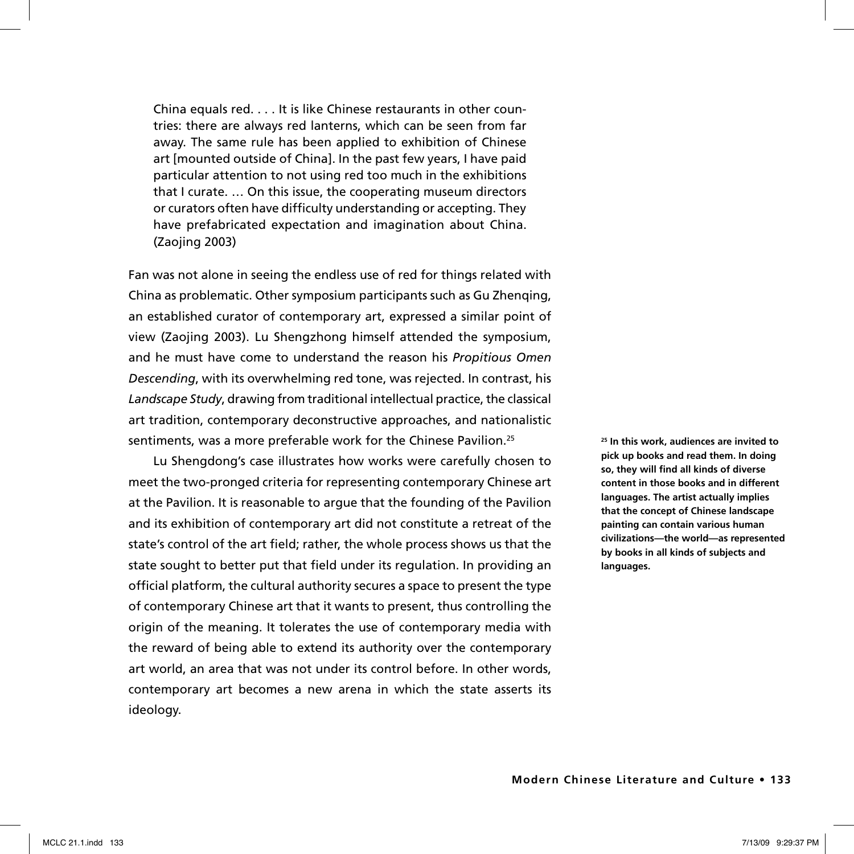China equals red. . . . It is like Chinese restaurants in other countries: there are always red lanterns, which can be seen from far away. The same rule has been applied to exhibition of Chinese art [mounted outside of China]. In the past few years, I have paid particular attention to not using red too much in the exhibitions that I curate. … On this issue, the cooperating museum directors or curators often have difficulty understanding or accepting. They have prefabricated expectation and imagination about China. (Zaojing 2003)

Fan was not alone in seeing the endless use of red for things related with China as problematic. Other symposium participants such as Gu Zhenqing, an established curator of contemporary art, expressed a similar point of view (Zaojing 2003). Lu Shengzhong himself attended the symposium, and he must have come to understand the reason his *Propitious Omen Descending*, with its overwhelming red tone, was rejected. In contrast, his *Landscape Study*, drawing from traditional intellectual practice, the classical art tradition, contemporary deconstructive approaches, and nationalistic sentiments, was a more preferable work for the Chinese Pavilion.<sup>25</sup>

Lu Shengdong's case illustrates how works were carefully chosen to meet the two-pronged criteria for representing contemporary Chinese art at the Pavilion. It is reasonable to argue that the founding of the Pavilion and its exhibition of contemporary art did not constitute a retreat of the state's control of the art field; rather, the whole process shows us that the state sought to better put that field under its regulation. In providing an official platform, the cultural authority secures a space to present the type of contemporary Chinese art that it wants to present, thus controlling the origin of the meaning. It tolerates the use of contemporary media with the reward of being able to extend its authority over the contemporary art world, an area that was not under its control before. In other words, contemporary art becomes a new arena in which the state asserts its ideology.

**25 In this work, audiences are invited to pick up books and read them. In doing so, they will find all kinds of diverse content in those books and in different languages. The artist actually implies that the concept of Chinese landscape painting can contain various human civilizations—the world—as represented by books in all kinds of subjects and languages.**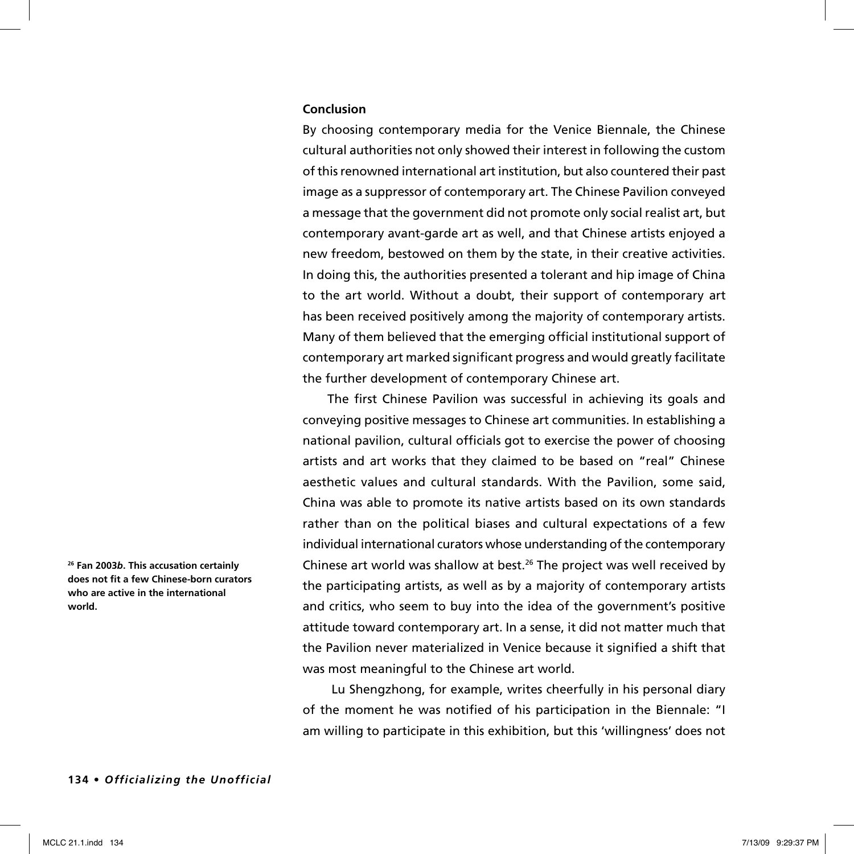## **Conclusion**

By choosing contemporary media for the Venice Biennale, the Chinese cultural authorities not only showed their interest in following the custom of this renowned international art institution, but also countered their past image as a suppressor of contemporary art. The Chinese Pavilion conveyed a message that the government did not promote only social realist art, but contemporary avant-garde art as well, and that Chinese artists enjoyed a new freedom, bestowed on them by the state, in their creative activities. In doing this, the authorities presented a tolerant and hip image of China to the art world. Without a doubt, their support of contemporary art has been received positively among the majority of contemporary artists. Many of them believed that the emerging official institutional support of contemporary art marked significant progress and would greatly facilitate the further development of contemporary Chinese art.

The first Chinese Pavilion was successful in achieving its goals and conveying positive messages to Chinese art communities. In establishing a national pavilion, cultural officials got to exercise the power of choosing artists and art works that they claimed to be based on "real" Chinese aesthetic values and cultural standards. With the Pavilion, some said, China was able to promote its native artists based on its own standards rather than on the political biases and cultural expectations of a few individual international curators whose understanding of the contemporary Chinese art world was shallow at best.26 The project was well received by the participating artists, as well as by a majority of contemporary artists and critics, who seem to buy into the idea of the government's positive attitude toward contemporary art. In a sense, it did not matter much that the Pavilion never materialized in Venice because it signified a shift that was most meaningful to the Chinese art world.

 Lu Shengzhong, for example, writes cheerfully in his personal diary of the moment he was notified of his participation in the Biennale: "I am willing to participate in this exhibition, but this 'willingness' does not

**26 Fan 2003***b***. This accusation certainly does not fit a few Chinese-born curators who are active in the international world.**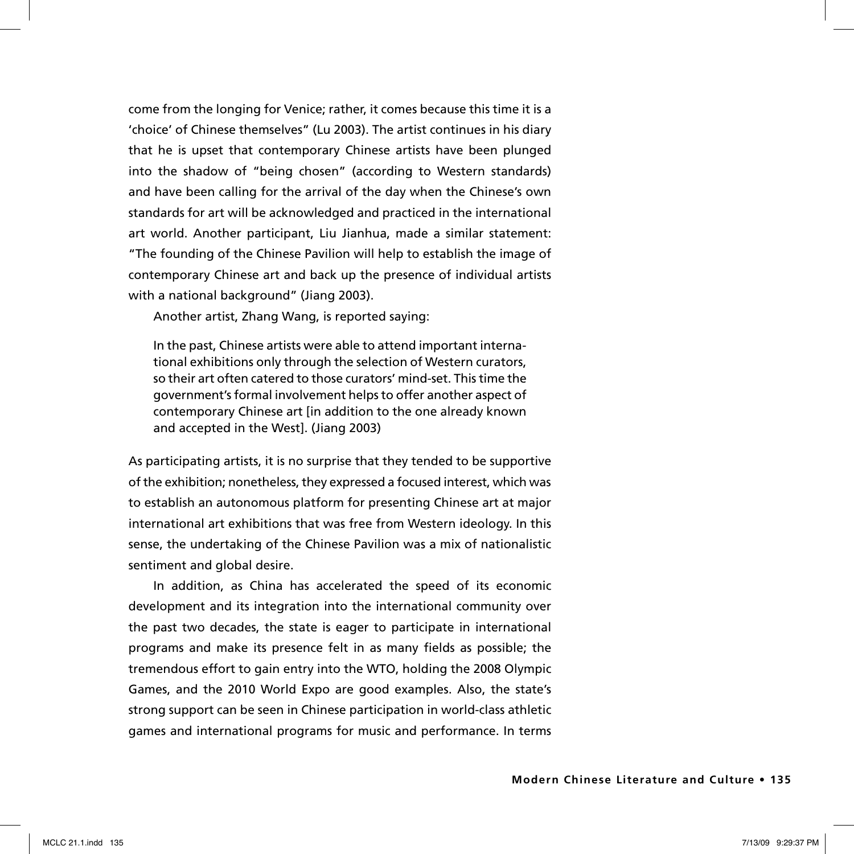come from the longing for Venice; rather, it comes because this time it is a 'choice' of Chinese themselves" (Lu 2003). The artist continues in his diary that he is upset that contemporary Chinese artists have been plunged into the shadow of "being chosen" (according to Western standards) and have been calling for the arrival of the day when the Chinese's own standards for art will be acknowledged and practiced in the international art world. Another participant, Liu Jianhua, made a similar statement: "The founding of the Chinese Pavilion will help to establish the image of contemporary Chinese art and back up the presence of individual artists with a national background" (Jiang 2003).

Another artist, Zhang Wang, is reported saying:

In the past, Chinese artists were able to attend important international exhibitions only through the selection of Western curators, so their art often catered to those curators' mind-set. This time the government's formal involvement helps to offer another aspect of contemporary Chinese art [in addition to the one already known and accepted in the West]. (Jiang 2003)

As participating artists, it is no surprise that they tended to be supportive of the exhibition; nonetheless, they expressed a focused interest, which was to establish an autonomous platform for presenting Chinese art at major international art exhibitions that was free from Western ideology. In this sense, the undertaking of the Chinese Pavilion was a mix of nationalistic sentiment and global desire.

In addition, as China has accelerated the speed of its economic development and its integration into the international community over the past two decades, the state is eager to participate in international programs and make its presence felt in as many fields as possible; the tremendous effort to gain entry into the WTO, holding the 2008 Olympic Games, and the 2010 World Expo are good examples. Also, the state's strong support can be seen in Chinese participation in world-class athletic games and international programs for music and performance. In terms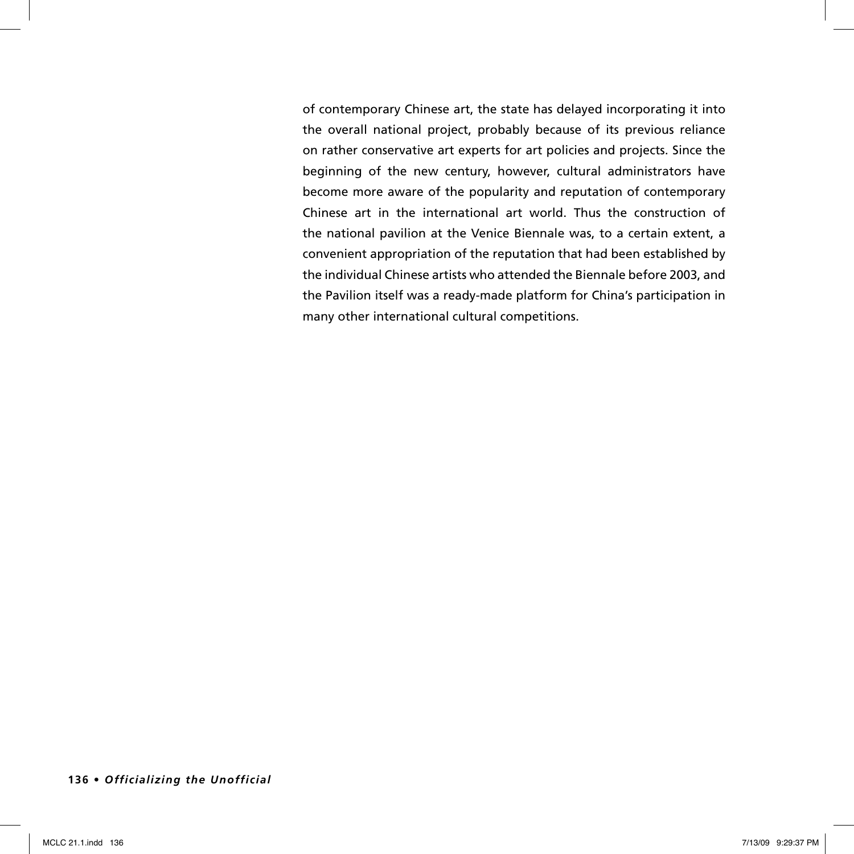of contemporary Chinese art, the state has delayed incorporating it into the overall national project, probably because of its previous reliance on rather conservative art experts for art policies and projects. Since the beginning of the new century, however, cultural administrators have become more aware of the popularity and reputation of contemporary Chinese art in the international art world. Thus the construction of the national pavilion at the Venice Biennale was, to a certain extent, a convenient appropriation of the reputation that had been established by the individual Chinese artists who attended the Biennale before 2003, and the Pavilion itself was a ready-made platform for China's participation in many other international cultural competitions.

## **136 •** *Officializing the Unofficial*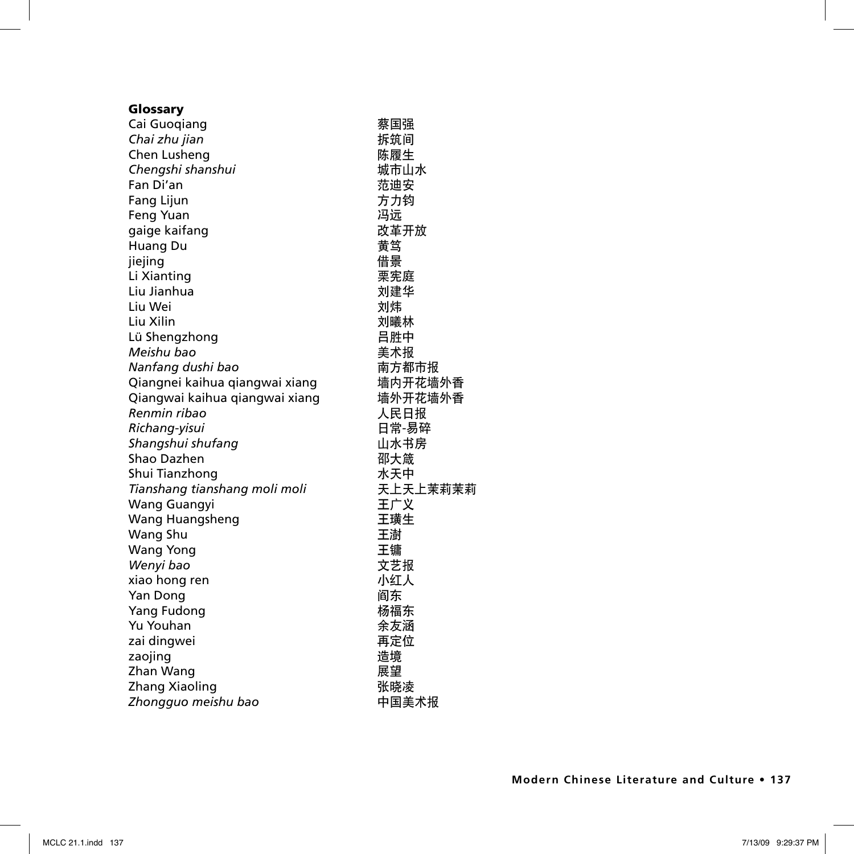# Glossary Cai Guoqiang 蔡国强 **Chai zhu jian** インファイル あいしゃ ほうしゃ 拆筑间 Chen Lusheng いちゃくちゃく あいしゃ 陈履生 *Chengshi shanshui* 城市山水 **Fan Di'an インフィック アイスト おおおお おおおお 売迪安** Fang Lijun 方力钧 Feng Yuan 冯远 gaige kaifang いっとしてはない みじょう 改革开放 Huang Du 黄笃 jiejing **the contract of the contract of the contract of the contract of the contract of the contract of the co** Li Xianting 栗宪庭 Liu Jianhua 刘建华 Liu Wei しゅうしょう しゅうしょう しょうしょう こうしょう しょうかい しょうかい こうしょう Liu Xilin はらしい しょうしゃ しょうしょう こうしょう しょうかい こうしょう しゅうしょう しゅうしょう こうしゅう こうしゃ こうしゅう しゅうしゃ こうしゅう しゅうしょく しゅうしゃ しゅうしゃ こう Lü Shengzhong インファイル 日胜中 *Meishu bao* 美术报 **Nanfang dushi bao http://www.profect.com/distance/models/distance/models/distance/models/distance/models/distance/** Qiangnei kaihua qiangwai xiang ٢ م مانا Qiangwai kaihua qiangwai xiang 墙外开花墙外香 *Renmin ribao* 人民日报 Richang-yisui **be a more of the control of the control of the control of the control of the control of the control of the control of the control of the control of the control of the control of the control of the control o Shangshui shufang** インファイル 山水书房 Shao Dazhen 邵大箴 **Shui Tianzhong オンランス かんしゃ かいしゃ かいしゃ** 水天中 *Tianshang tianshang moli moli* 天上天上茉莉茉莉 Wang Guangyi 王广义 Wang Huangsheng 王璜生 Wang Shu **hang Shu hang Shu hang Shu hang may be hang may be had be had be had be had be had be had b** Wang Yong **Example 20** and the Mang Yong **The Management** of the Terminal Terminal Terminal Terminal Terminal Te *Wenyi bao* 文艺报 xiao hong ren いっとう しゃくん 小红人 Yan Dong インファイル おおとこ しょうしゃ アイスト アイスト アイスト 阎东 しょうかん いちょうしゃ いちょうしゃ いちょうしゃ いちょうしゃ いちょうしゃ Yang Fudong **Manager State State State State Manager** 杨福东 Yu Youhan **Article State State State State State State State Article State Article** zai dingwei 再定位 zaojing またまま こうしゃ おおとこ にっぽん おおところ じゅうしょう じゅうしょう Zhan Wang 展望 Zhang Xiaoling インファイル おおし みちょう 武晓凌 しょうちょう かいしょう *Zhongguo meishu bao* 中国美术报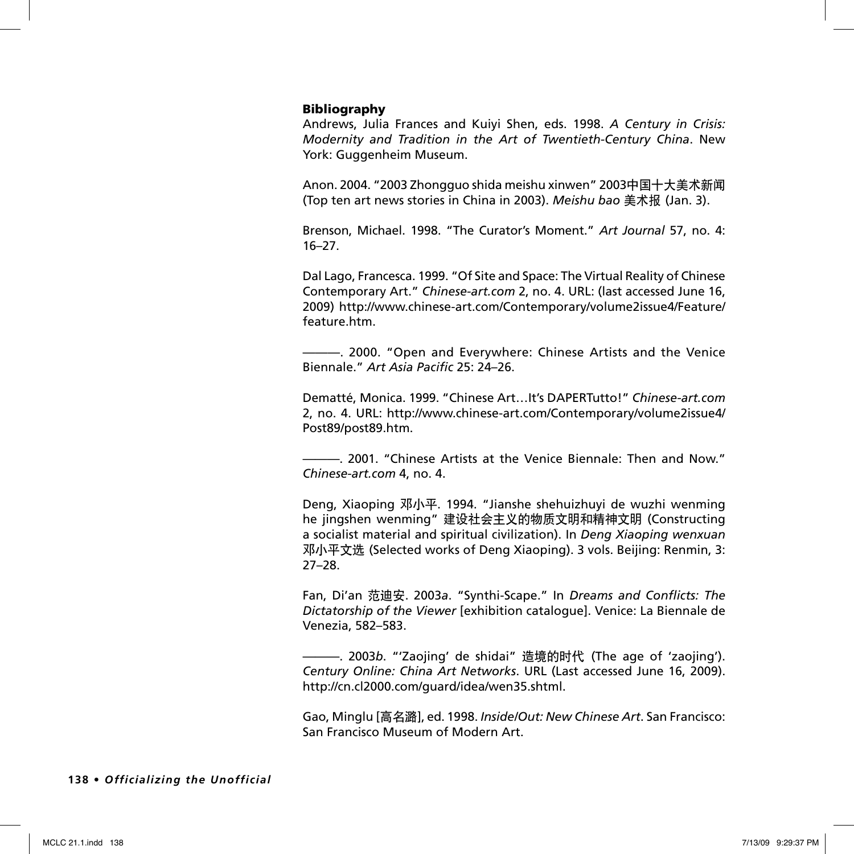## Bibliography

Andrews, Julia Frances and Kuiyi Shen, eds. 1998. *A Century in Crisis: Modernity and Tradition in the Art of Twentieth-Century China*. New York: Guggenheim Museum.

Anon. 2004. "2003 Zhongguo shida meishu xinwen" 2003中国十大美术新闻 (Top ten art news stories in China in 2003). *Meishu bao* 美术报 (Jan. 3).

Brenson, Michael. 1998. "The Curator's Moment." *Art Journal* 57, no. 4: 16–27.

Dal Lago, Francesca. 1999. "Of Site and Space: The Virtual Reality of Chinese Contemporary Art." *Chinese-art.com* 2, no. 4. URL: (last accessed June 16, 2009) http://www.chinese-art.com/Contemporary/volume2issue4/Feature/ feature.htm.

———. 2000. "Open and Everywhere: Chinese Artists and the Venice Biennale." *Art Asia Pacific* 25: 24–26.

Dematté, Monica. 1999. "Chinese Art…It's DAPERTutto!" *Chinese-art.com*  2, no. 4. URL: http://www.chinese-art.com/Contemporary/volume2issue4/ Post89/post89.htm.

———. 2001. "Chinese Artists at the Venice Biennale: Then and Now." *Chinese-art.com* 4, no. 4.

Deng, Xiaoping 邓小平. 1994. "Jianshe shehuizhuyi de wuzhi wenming he jingshen wenming" 建设社会主义的物质文明和精神文明 (Constructing a socialist material and spiritual civilization). In *Deng Xiaoping wenxuan* 邓小平文选 (Selected works of Deng Xiaoping). 3 vols. Beijing: Renmin, 3: 27–28.

Fan, Di'an 范迪安. 2003*a*. "Synthi-Scape." In *Dreams and Conflicts: The Dictatorship of the Viewer* [exhibition catalogue]. Venice: La Biennale de Venezia, 582–583.

———. 2003*b*. "'Zaojing' de shidai" 造境的时代 (The age of 'zaojing'). *Century Online: China Art Networks*. URL (Last accessed June 16, 2009). http://cn.cl2000.com/guard/idea/wen35.shtml.

Gao, Minglu [高名潞], ed. 1998. *Inside/Out: New Chinese Art*. San Francisco: San Francisco Museum of Modern Art.

#### **138 •** *Officializing the Unofficial*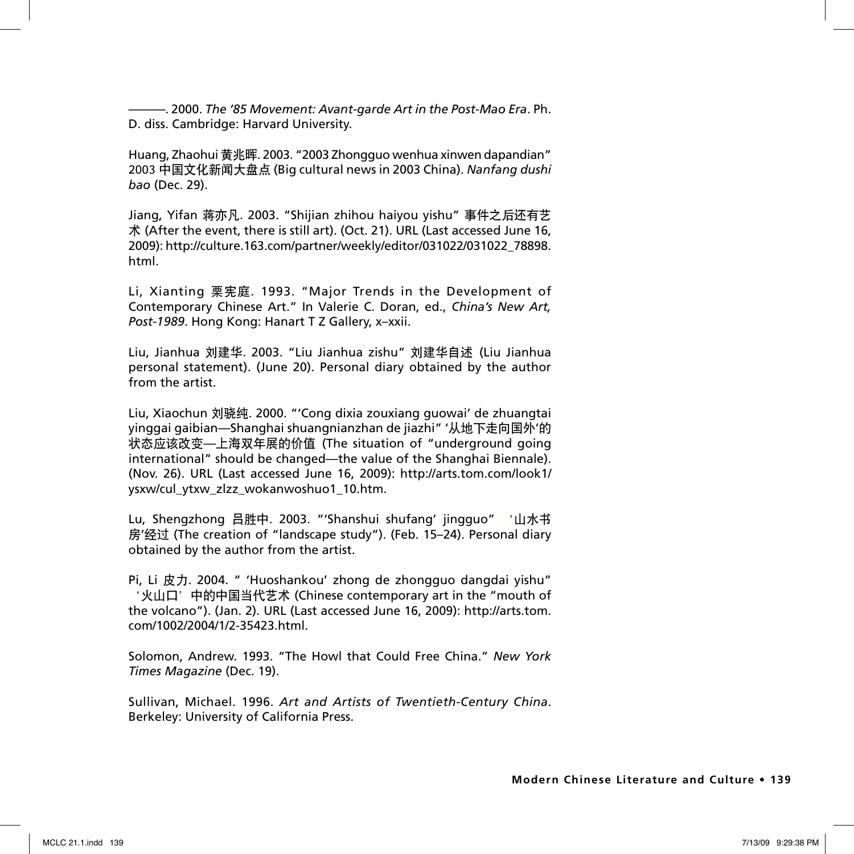———. 2000. *The '85 Movement: Avant-garde Art in the Post-Mao Era*. Ph. D. diss. Cambridge: Harvard University.

Huang, Zhaohui 黄兆晖. 2003. "2003 Zhongguo wenhua xinwen dapandian" 2003 中国文化新闻大盘点 (Big cultural news in 2003 China). *Nanfang dushi bao* (Dec. 29).

Jiang, Yifan 蒋亦凡. 2003. "Shijian zhihou haiyou yishu" 事件之后还有艺 术 (After the event, there is still art). (Oct. 21). URL (Last accessed June 16, 2009): http://culture.163.com/partner/weekly/editor/031022/031022\_78898. html.

Li, Xianting 栗宪庭. 1993. "Major Trends in the Development of Contemporary Chinese Art." In Valerie C. Doran, ed., *China's New Art, Post-1989*. Hong Kong: Hanart T Z Gallery, x–xxii.

Liu, Jianhua 刘建华. 2003. "Liu Jianhua zishu" 刘建华自述 (Liu Jianhua personal statement). (June 20). Personal diary obtained by the author from the artist.

Liu, Xiaochun 刘骁纯. 2000. "'Cong dixia zouxiang guowai' de zhuangtai yinggai gaibian—Shanghai shuangnianzhan de jiazhi" '从地下走向国外'的 状态应该改变—上海双年展的价值 (The situation of "underground going international" should be changed—the value of the Shanghai Biennale). (Nov. 26). URL (Last accessed June 16, 2009): http://arts.tom.com/look1/ ysxw/cul\_ytxw\_zlzz\_wokanwoshuo1\_10.htm.

Lu, Shengzhong 吕胜中. 2003. "'Shanshui shufang' jingguo" '山水书 房'经过 (The creation of "landscape study"). (Feb. 15–24). Personal diary obtained by the author from the artist.

Pi, Li 皮力. 2004. " 'Huoshankou' zhong de zhongguo dangdai yishu" '火山口'中的中国当代艺术 (Chinese contemporary art in the "mouth of the volcano"). (Jan. 2). URL (Last accessed June 16, 2009): http://arts.tom. com/1002/2004/1/2-35423.html.

Solomon, Andrew. 1993. "The Howl that Could Free China." *New York Times Magazine* (Dec. 19).

Sullivan, Michael. 1996. *Art and Artists of Twentieth-Century China*. Berkeley: University of California Press.